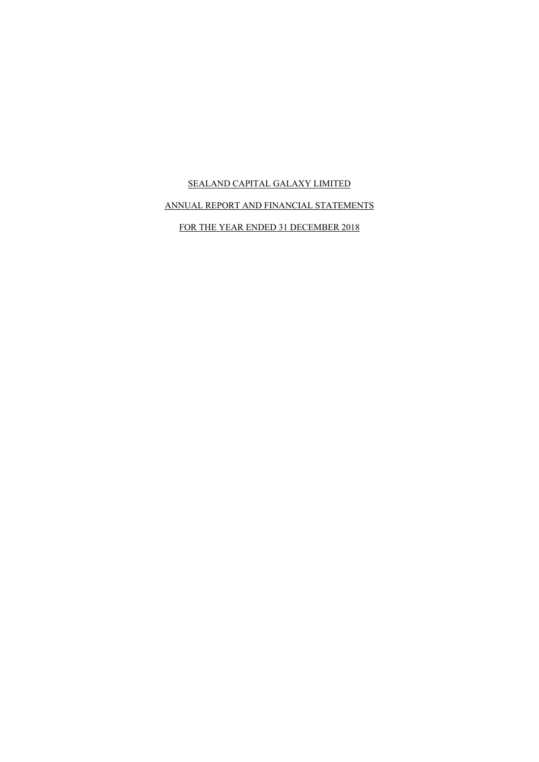# ANNUAL REPORT AND FINANCIAL STATEMENTS

FOR THE YEAR ENDED 31 DECEMBER 2018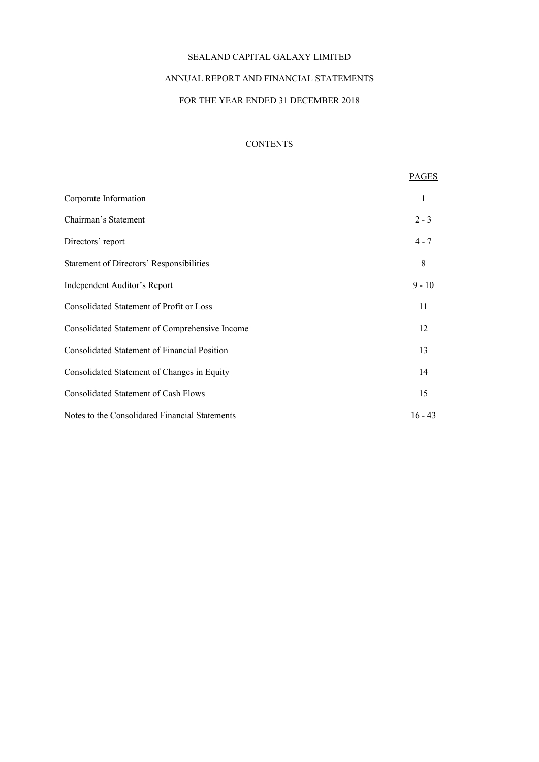## ANNUAL REPORT AND FINANCIAL STATEMENTS

## FOR THE YEAR ENDED 31 DECEMBER 2018

## **CONTENTS**

|                                                     | <b>PAGES</b> |
|-----------------------------------------------------|--------------|
| Corporate Information                               | 1            |
| Chairman's Statement                                | $2 - 3$      |
| Directors' report                                   | $4 - 7$      |
| <b>Statement of Directors' Responsibilities</b>     | 8            |
| Independent Auditor's Report                        | $9 - 10$     |
| Consolidated Statement of Profit or Loss            | 11           |
| Consolidated Statement of Comprehensive Income      | 12           |
| <b>Consolidated Statement of Financial Position</b> | 13           |
| Consolidated Statement of Changes in Equity         | 14           |
| <b>Consolidated Statement of Cash Flows</b>         | 15           |
| Notes to the Consolidated Financial Statements      | $16 - 43$    |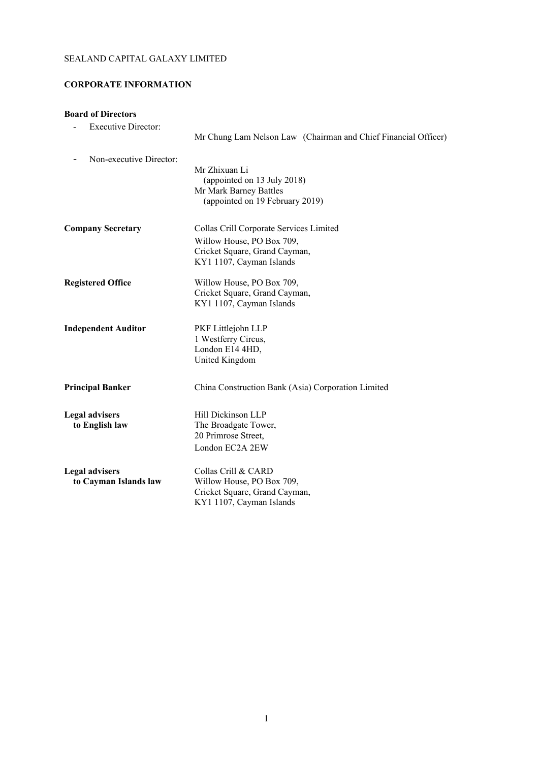## **CORPORATE INFORMATION**

## **Board of Directors**

| <b>Executive Director:</b>                     | Mr Chung Lam Nelson Law (Chairman and Chief Financial Officer)                                                                    |
|------------------------------------------------|-----------------------------------------------------------------------------------------------------------------------------------|
| Non-executive Director:                        | Mr Zhixuan Li<br>(appointed on 13 July 2018)<br>Mr Mark Barney Battles<br>(appointed on 19 February 2019)                         |
| <b>Company Secretary</b>                       | Collas Crill Corporate Services Limited<br>Willow House, PO Box 709,<br>Cricket Square, Grand Cayman,<br>KY1 1107, Cayman Islands |
| <b>Registered Office</b>                       | Willow House, PO Box 709,<br>Cricket Square, Grand Cayman,<br>KY1 1107, Cayman Islands                                            |
| <b>Independent Auditor</b>                     | PKF Littlejohn LLP<br>1 Westferry Circus,<br>London E14 4HD,<br>United Kingdom                                                    |
| <b>Principal Banker</b>                        | China Construction Bank (Asia) Corporation Limited                                                                                |
| <b>Legal advisers</b><br>to English law        | Hill Dickinson LLP<br>The Broadgate Tower,<br>20 Primrose Street,<br>London EC2A 2EW                                              |
| <b>Legal advisers</b><br>to Cayman Islands law | Collas Crill & CARD<br>Willow House, PO Box 709,<br>Cricket Square, Grand Cayman,<br>KY1 1107, Cayman Islands                     |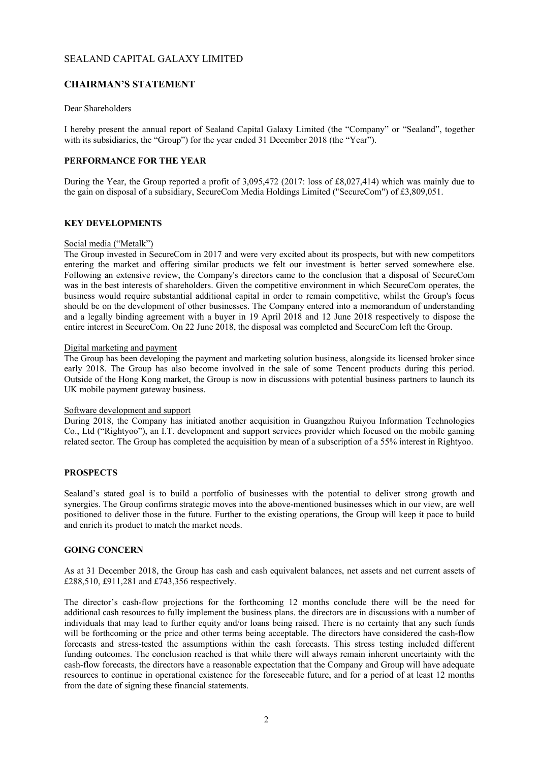## **CHAIRMAN'S STATEMENT**

#### Dear Shareholders

I hereby present the annual report of Sealand Capital Galaxy Limited (the "Company" or "Sealand", together with its subsidiaries, the "Group") for the year ended 31 December 2018 (the "Year").

### **PERFORMANCE FOR THE YEAR**

During the Year, the Group reported a profit of 3,095,472 (2017: loss of £8,027,414) which was mainly due to the gain on disposal of a subsidiary, SecureCom Media Holdings Limited ("SecureCom") of £3,809,051.

## **KEY DEVELOPMENTS**

#### Social media ("Metalk")

The Group invested in SecureCom in 2017 and were very excited about its prospects, but with new competitors entering the market and offering similar products we felt our investment is better served somewhere else. Following an extensive review, the Company's directors came to the conclusion that a disposal of SecureCom was in the best interests of shareholders. Given the competitive environment in which SecureCom operates, the business would require substantial additional capital in order to remain competitive, whilst the Group's focus should be on the development of other businesses. The Company entered into a memorandum of understanding and a legally binding agreement with a buyer in 19 April 2018 and 12 June 2018 respectively to dispose the entire interest in SecureCom. On 22 June 2018, the disposal was completed and SecureCom left the Group.

#### Digital marketing and payment

The Group has been developing the payment and marketing solution business, alongside its licensed broker since early 2018. The Group has also become involved in the sale of some Tencent products during this period. Outside of the Hong Kong market, the Group is now in discussions with potential business partners to launch its UK mobile payment gateway business.

#### Software development and support

During 2018, the Company has initiated another acquisition in Guangzhou Ruiyou Information Technologies Co., Ltd ("Rightyoo"), an I.T. development and support services provider which focused on the mobile gaming related sector. The Group has completed the acquisition by mean of a subscription of a 55% interest in Rightyoo.

#### **PROSPECTS**

Sealand's stated goal is to build a portfolio of businesses with the potential to deliver strong growth and synergies. The Group confirms strategic moves into the above-mentioned businesses which in our view, are well positioned to deliver those in the future. Further to the existing operations, the Group will keep it pace to build and enrich its product to match the market needs.

#### **GOING CONCERN**

As at 31 December 2018, the Group has cash and cash equivalent balances, net assets and net current assets of £288,510, £911,281 and £743,356 respectively.

The director's cash-flow projections for the forthcoming 12 months conclude there will be the need for additional cash resources to fully implement the business plans. the directors are in discussions with a number of individuals that may lead to further equity and/or loans being raised. There is no certainty that any such funds will be forthcoming or the price and other terms being acceptable. The directors have considered the cash-flow forecasts and stress-tested the assumptions within the cash forecasts. This stress testing included different funding outcomes. The conclusion reached is that while there will always remain inherent uncertainty with the cash-flow forecasts, the directors have a reasonable expectation that the Company and Group will have adequate resources to continue in operational existence for the foreseeable future, and for a period of at least 12 months from the date of signing these financial statements.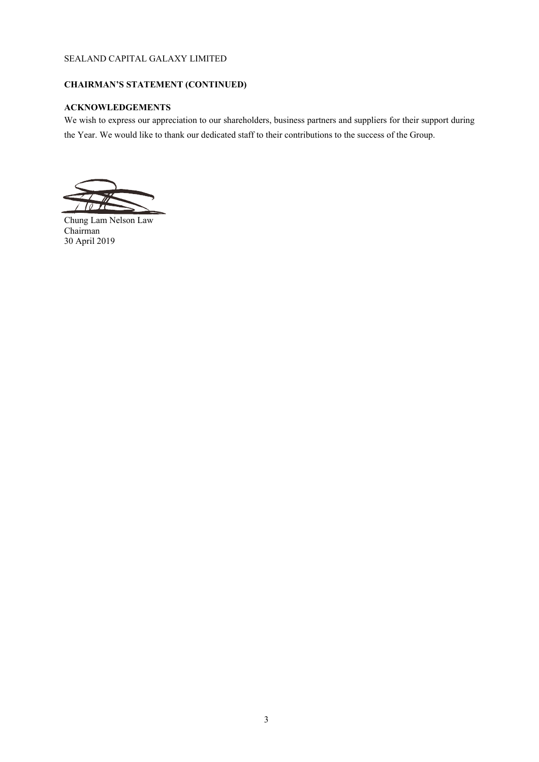## **CHAIRMAN'S STATEMENT (CONTINUED)**

## **ACKNOWLEDGEMENTS**

We wish to express our appreciation to our shareholders, business partners and suppliers for their support during the Year. We would like to thank our dedicated staff to their contributions to the success of the Group.

Chung Lam Nelson Law Chairman 30 April 2019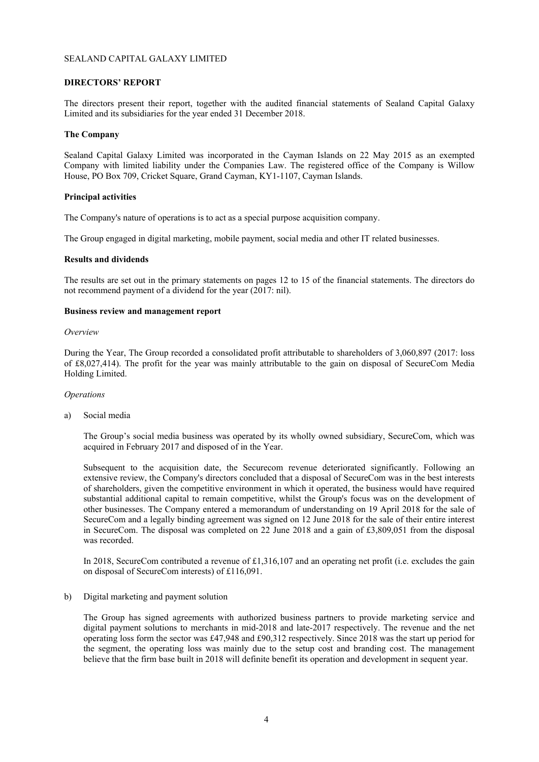#### **DIRECTORS' REPORT**

The directors present their report, together with the audited financial statements of Sealand Capital Galaxy Limited and its subsidiaries for the year ended 31 December 2018.

#### **The Company**

Sealand Capital Galaxy Limited was incorporated in the Cayman Islands on 22 May 2015 as an exempted Company with limited liability under the Companies Law. The registered office of the Company is Willow House, PO Box 709, Cricket Square, Grand Cayman, KY1-1107, Cayman Islands.

#### **Principal activities**

The Company's nature of operations is to act as a special purpose acquisition company.

The Group engaged in digital marketing, mobile payment, social media and other IT related businesses.

#### **Results and dividends**

The results are set out in the primary statements on pages 12 to 15 of the financial statements. The directors do not recommend payment of a dividend for the year (2017: nil).

#### **Business review and management report**

*Overview*

During the Year, The Group recorded a consolidated profit attributable to shareholders of 3,060,897 (2017: loss of £8,027,414). The profit for the year was mainly attributable to the gain on disposal of SecureCom Media Holding Limited.

#### *Operations*

a) Social media

The Group's social media business was operated by its wholly owned subsidiary, SecureCom, which was acquired in February 2017 and disposed of in the Year.

Subsequent to the acquisition date, the Securecom revenue deteriorated significantly. Following an extensive review, the Company's directors concluded that a disposal of SecureCom was in the best interests of shareholders, given the competitive environment in which it operated, the business would have required substantial additional capital to remain competitive, whilst the Group's focus was on the development of other businesses. The Company entered a memorandum of understanding on 19 April 2018 for the sale of SecureCom and a legally binding agreement was signed on 12 June 2018 for the sale of their entire interest in SecureCom. The disposal was completed on 22 June 2018 and a gain of £3,809,051 from the disposal was recorded.

In 2018, SecureCom contributed a revenue of  $\pounds$ 1,316,107 and an operating net profit (i.e. excludes the gain on disposal of SecureCom interests) of £116,091.

#### b) Digital marketing and payment solution

The Group has signed agreements with authorized business partners to provide marketing service and digital payment solutions to merchants in mid-2018 and late-2017 respectively. The revenue and the net operating loss form the sector was £47,948 and £90,312 respectively. Since 2018 was the start up period for the segment, the operating loss was mainly due to the setup cost and branding cost. The management believe that the firm base built in 2018 will definite benefit its operation and development in sequent year.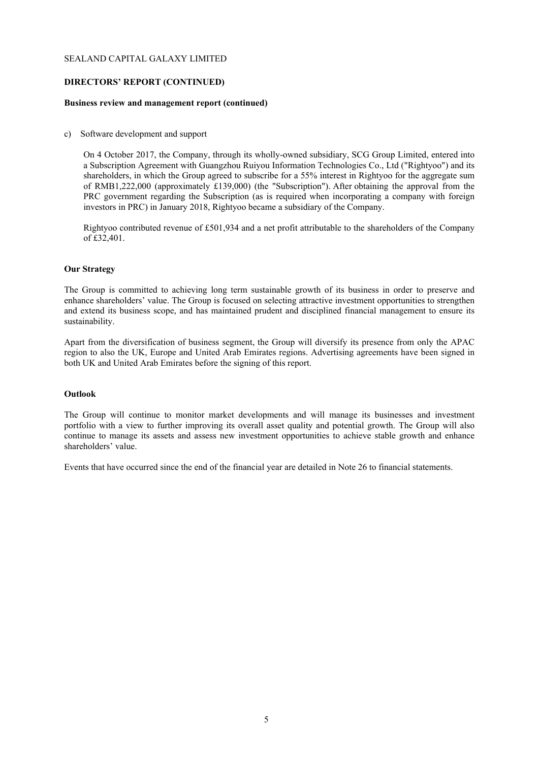## **DIRECTORS' REPORT (CONTINUED)**

#### **Business review and management report (continued)**

c) Software development and support

On 4 October 2017, the Company, through its wholly-owned subsidiary, SCG Group Limited, entered into a Subscription Agreement with Guangzhou Ruiyou Information Technologies Co., Ltd ("Rightyoo") and its shareholders, in which the Group agreed to subscribe for a 55% interest in Rightyoo for the aggregate sum of RMB1,222,000 (approximately £139,000) (the "Subscription"). After obtaining the approval from the PRC government regarding the Subscription (as is required when incorporating a company with foreign investors in PRC) in January 2018, Rightyoo became a subsidiary of the Company.

Rightyoo contributed revenue of £501,934 and a net profit attributable to the shareholders of the Company of £32,401.

#### **Our Strategy**

The Group is committed to achieving long term sustainable growth of its business in order to preserve and enhance shareholders' value. The Group is focused on selecting attractive investment opportunities to strengthen and extend its business scope, and has maintained prudent and disciplined financial management to ensure its sustainability.

Apart from the diversification of business segment, the Group will diversify its presence from only the APAC region to also the UK, Europe and [United Arab Emirates](https://en.wikipedia.org/wiki/United_Arab_Emirates) regions. Advertising agreements have been signed in both UK and United Arab Emirates before the signing of this report.

### **Outlook**

The Group will continue to monitor market developments and will manage its businesses and investment portfolio with a view to further improving its overall asset quality and potential growth. The Group will also continue to manage its assets and assess new investment opportunities to achieve stable growth and enhance shareholders' value.

Events that have occurred since the end of the financial year are detailed in Note 26 to financial statements.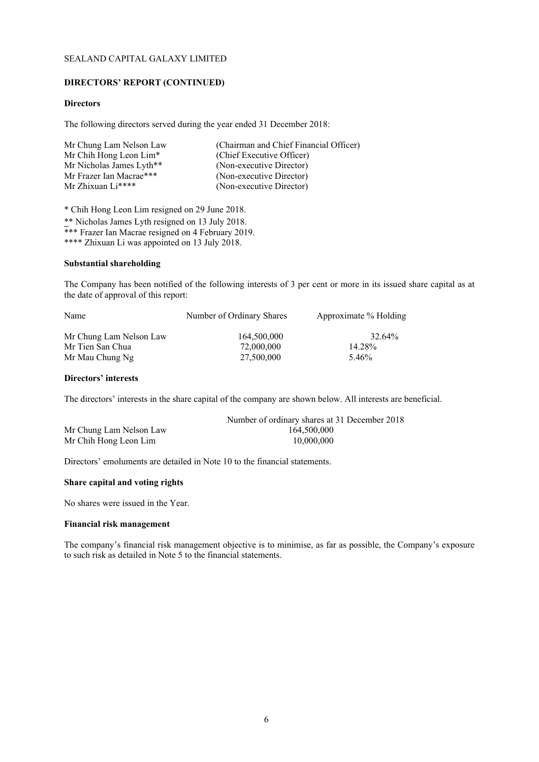## **DIRECTORS' REPORT (CONTINUED)**

#### **Directors**

The following directors served during the year ended 31 December 2018:

| Mr Chung Lam Nelson Law  | (Chairman and Chief Financial Officer) |
|--------------------------|----------------------------------------|
| Mr Chih Hong Leon Lim*   | (Chief Executive Officer)              |
| Mr Nicholas James Lyth** | (Non-executive Director)               |
| Mr Frazer Ian Macrae***  | (Non-executive Director)               |
| Mr Zhixuan Li****        | (Non-executive Director)               |

\* Chih Hong Leon Lim resigned on 29 June 2018.

\*\* Nicholas James Lyth resigned on 13 July 2018. \*\*\* Frazer Ian Macrae resigned on 4 February 2019. \*\*\*\* Zhixuan Li was appointed on 13 July 2018.

#### **Substantial shareholding**

The Company has been notified of the following interests of 3 per cent or more in its issued share capital as at the date of approval of this report:

| Name                    | Number of Ordinary Shares | Approximate % Holding |  |
|-------------------------|---------------------------|-----------------------|--|
| Mr Chung Lam Nelson Law | 164,500,000               | 32.64%                |  |
| Mr Tien San Chua        | 72,000,000                | 14.28%                |  |
| Mr Mau Chung Ng         | 27,500,000                | 5.46%                 |  |

#### **Directors' interests**

The directors' interests in the share capital of the company are shown below. All interests are beneficial.

|                         | Number of ordinary shares at 31 December 2018 |
|-------------------------|-----------------------------------------------|
| Mr Chung Lam Nelson Law | 164,500,000                                   |
| Mr Chih Hong Leon Lim   | 10,000,000                                    |

Directors' emoluments are detailed in Note 10 to the financial statements.

#### **Share capital and voting rights**

No shares were issued in the Year.

#### **Financial risk management**

The company's financial risk management objective is to minimise, as far as possible, the Company's exposure to such risk as detailed in Note 5 to the financial statements.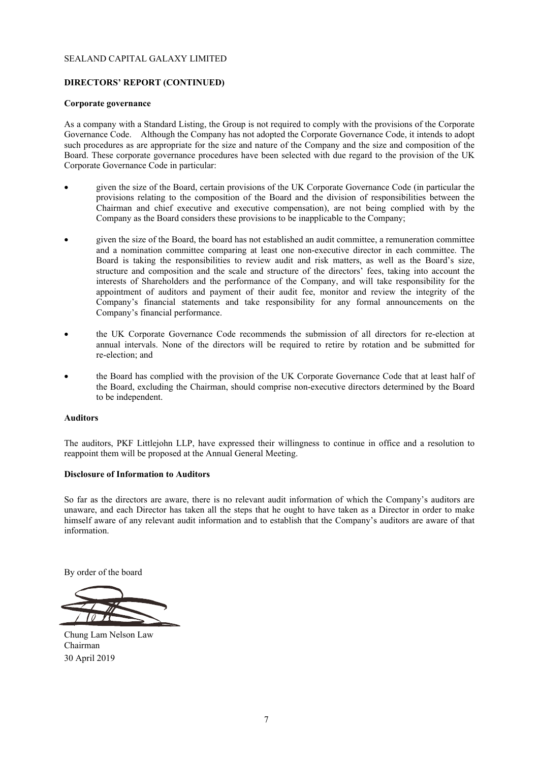### **DIRECTORS' REPORT (CONTINUED)**

#### **Corporate governance**

As a company with a Standard Listing, the Group is not required to comply with the provisions of the Corporate Governance Code. Although the Company has not adopted the Corporate Governance Code, it intends to adopt such procedures as are appropriate for the size and nature of the Company and the size and composition of the Board. These corporate governance procedures have been selected with due regard to the provision of the UK Corporate Governance Code in particular:

- given the size of the Board, certain provisions of the UK Corporate Governance Code (in particular the provisions relating to the composition of the Board and the division of responsibilities between the Chairman and chief executive and executive compensation), are not being complied with by the Company as the Board considers these provisions to be inapplicable to the Company;
- given the size of the Board, the board has not established an audit committee, a remuneration committee and a nomination committee comparing at least one non-executive director in each committee. The Board is taking the responsibilities to review audit and risk matters, as well as the Board's size, structure and composition and the scale and structure of the directors' fees, taking into account the interests of Shareholders and the performance of the Company, and will take responsibility for the appointment of auditors and payment of their audit fee, monitor and review the integrity of the Company's financial statements and take responsibility for any formal announcements on the Company's financial performance.
- the UK Corporate Governance Code recommends the submission of all directors for re-election at annual intervals. None of the directors will be required to retire by rotation and be submitted for re-election; and
- the Board has complied with the provision of the UK Corporate Governance Code that at least half of the Board, excluding the Chairman, should comprise non-executive directors determined by the Board to be independent.

### **Auditors**

The auditors, PKF Littlejohn LLP, have expressed their willingness to continue in office and a resolution to reappoint them will be proposed at the Annual General Meeting.

### **Disclosure of Information to Auditors**

So far as the directors are aware, there is no relevant audit information of which the Company's auditors are unaware, and each Director has taken all the steps that he ought to have taken as a Director in order to make himself aware of any relevant audit information and to establish that the Company's auditors are aware of that information.

By order of the board

Chung Lam Nelson Law Chairman 30 April 2019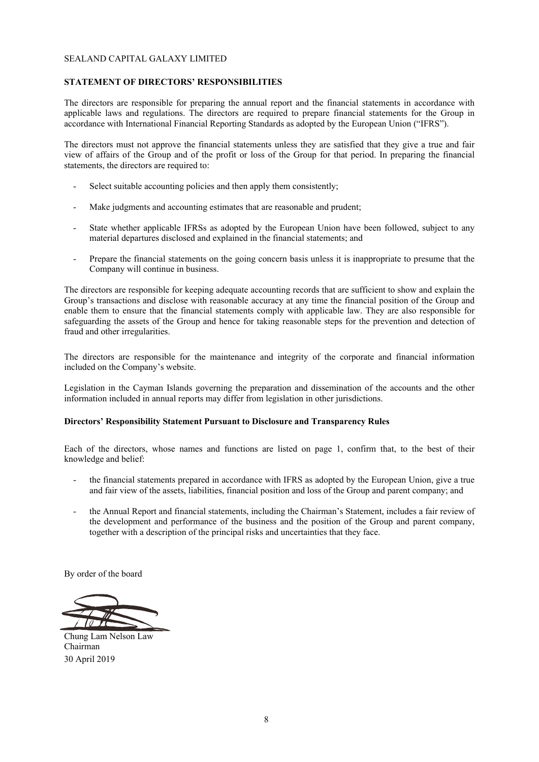### **STATEMENT OF DIRECTORS' RESPONSIBILITIES**

The directors are responsible for preparing the annual report and the financial statements in accordance with applicable laws and regulations. The directors are required to prepare financial statements for the Group in accordance with International Financial Reporting Standards as adopted by the European Union ("IFRS").

The directors must not approve the financial statements unless they are satisfied that they give a true and fair view of affairs of the Group and of the profit or loss of the Group for that period. In preparing the financial statements, the directors are required to:

- Select suitable accounting policies and then apply them consistently;
- Make judgments and accounting estimates that are reasonable and prudent;
- State whether applicable IFRSs as adopted by the European Union have been followed, subject to any material departures disclosed and explained in the financial statements; and
- Prepare the financial statements on the going concern basis unless it is inappropriate to presume that the Company will continue in business.

The directors are responsible for keeping adequate accounting records that are sufficient to show and explain the Group's transactions and disclose with reasonable accuracy at any time the financial position of the Group and enable them to ensure that the financial statements comply with applicable law. They are also responsible for safeguarding the assets of the Group and hence for taking reasonable steps for the prevention and detection of fraud and other irregularities.

The directors are responsible for the maintenance and integrity of the corporate and financial information included on the Company's website.

Legislation in the Cayman Islands governing the preparation and dissemination of the accounts and the other information included in annual reports may differ from legislation in other jurisdictions.

#### **Directors' Responsibility Statement Pursuant to Disclosure and Transparency Rules**

Each of the directors, whose names and functions are listed on page 1, confirm that, to the best of their knowledge and belief:

- the financial statements prepared in accordance with IFRS as adopted by the European Union, give a true and fair view of the assets, liabilities, financial position and loss of the Group and parent company; and
- the Annual Report and financial statements, including the Chairman's Statement, includes a fair review of the development and performance of the business and the position of the Group and parent company, together with a description of the principal risks and uncertainties that they face.

By order of the board

Chung Lam Nelson Law Chairman 30 April 2019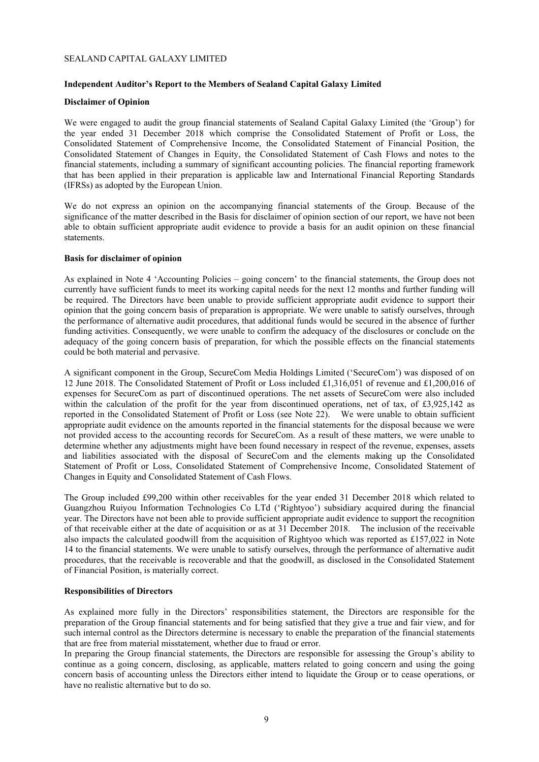#### **Independent Auditor's Report to the Members of Sealand Capital Galaxy Limited**

#### **Disclaimer of Opinion**

We were engaged to audit the group financial statements of Sealand Capital Galaxy Limited (the 'Group') for the year ended 31 December 2018 which comprise the Consolidated Statement of Profit or Loss, the Consolidated Statement of Comprehensive Income, the Consolidated Statement of Financial Position, the Consolidated Statement of Changes in Equity, the Consolidated Statement of Cash Flows and notes to the financial statements, including a summary of significant accounting policies. The financial reporting framework that has been applied in their preparation is applicable law and International Financial Reporting Standards (IFRSs) as adopted by the European Union.

We do not express an opinion on the accompanying financial statements of the Group. Because of the significance of the matter described in the Basis for disclaimer of opinion section of our report, we have not been able to obtain sufficient appropriate audit evidence to provide a basis for an audit opinion on these financial statements.

#### **Basis for disclaimer of opinion**

As explained in Note 4 'Accounting Policies – going concern' to the financial statements, the Group does not currently have sufficient funds to meet its working capital needs for the next 12 months and further funding will be required. The Directors have been unable to provide sufficient appropriate audit evidence to support their opinion that the going concern basis of preparation is appropriate. We were unable to satisfy ourselves, through the performance of alternative audit procedures, that additional funds would be secured in the absence of further funding activities. Consequently, we were unable to confirm the adequacy of the disclosures or conclude on the adequacy of the going concern basis of preparation, for which the possible effects on the financial statements could be both material and pervasive.

A significant component in the Group, SecureCom Media Holdings Limited ('SecureCom') was disposed of on 12 June 2018. The Consolidated Statement of Profit or Loss included £1,316,051 of revenue and £1,200,016 of expenses for SecureCom as part of discontinued operations. The net assets of SecureCom were also included within the calculation of the profit for the year from discontinued operations, net of tax, of £3,925,142 as reported in the Consolidated Statement of Profit or Loss (see Note 22). We were unable to obtain sufficient appropriate audit evidence on the amounts reported in the financial statements for the disposal because we were not provided access to the accounting records for SecureCom. As a result of these matters, we were unable to determine whether any adjustments might have been found necessary in respect of the revenue, expenses, assets and liabilities associated with the disposal of SecureCom and the elements making up the Consolidated Statement of Profit or Loss, Consolidated Statement of Comprehensive Income, Consolidated Statement of Changes in Equity and Consolidated Statement of Cash Flows.

The Group included £99,200 within other receivables for the year ended 31 December 2018 which related to Guangzhou Ruiyou Information Technologies Co LTd ('Rightyoo') subsidiary acquired during the financial year. The Directors have not been able to provide sufficient appropriate audit evidence to support the recognition of that receivable either at the date of acquisition or as at 31 December 2018. The inclusion of the receivable also impacts the calculated goodwill from the acquisition of Rightyoo which was reported as £157,022 in Note 14 to the financial statements. We were unable to satisfy ourselves, through the performance of alternative audit procedures, that the receivable is recoverable and that the goodwill, as disclosed in the Consolidated Statement of Financial Position, is materially correct.

#### **Responsibilities of Directors**

As explained more fully in the Directors' responsibilities statement, the Directors are responsible for the preparation of the Group financial statements and for being satisfied that they give a true and fair view, and for such internal control as the Directors determine is necessary to enable the preparation of the financial statements that are free from material misstatement, whether due to fraud or error.

In preparing the Group financial statements, the Directors are responsible for assessing the Group's ability to continue as a going concern, disclosing, as applicable, matters related to going concern and using the going concern basis of accounting unless the Directors either intend to liquidate the Group or to cease operations, or have no realistic alternative but to do so.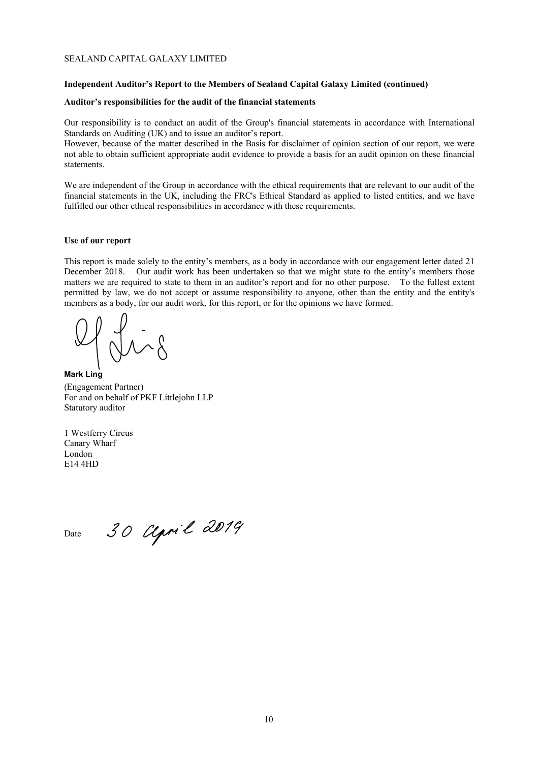#### **Independent Auditor's Report to the Members of Sealand Capital Galaxy Limited (continued)**

#### **Auditor's responsibilities for the audit of the financial statements**

Our responsibility is to conduct an audit of the Group's financial statements in accordance with International Standards on Auditing (UK) and to issue an auditor's report.

However, because of the matter described in the Basis for disclaimer of opinion section of our report, we were not able to obtain sufficient appropriate audit evidence to provide a basis for an audit opinion on these financial statements.

We are independent of the Group in accordance with the ethical requirements that are relevant to our audit of the financial statements in the UK, including the FRC's Ethical Standard as applied to listed entities, and we have fulfilled our other ethical responsibilities in accordance with these requirements.

#### **Use of our report**

This report is made solely to the entity's members, as a body in accordance with our engagement letter dated 21 December 2018. Our audit work has been undertaken so that we might state to the entity's members those matters we are required to state to them in an auditor's report and for no other purpose. To the fullest extent permitted by law, we do not accept or assume responsibility to anyone, other than the entity and the entity's members as a body, for our audit work, for this report, or for the opinions we have formed.

**Mark Ling** (Engagement Partner) For and on behalf of PKF Littlejohn LLP Statutory auditor

1 Westferry Circus Canary Wharf London E14 4HD

Date

30 April 2019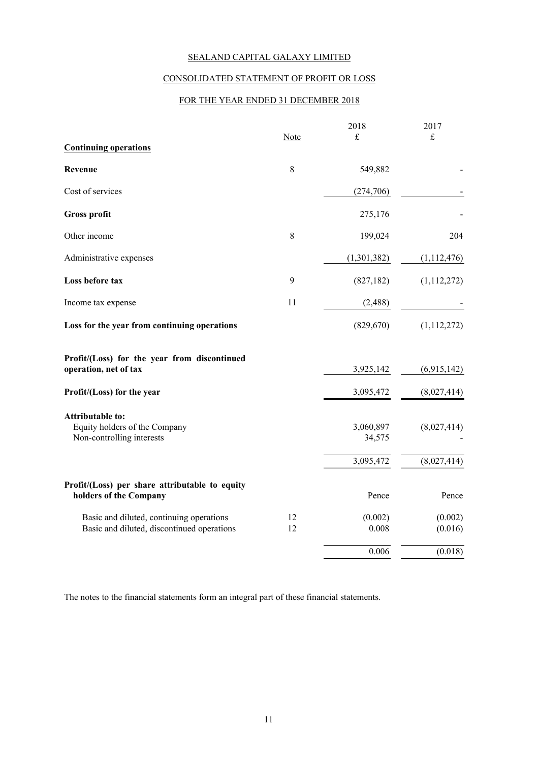# CONSOLIDATED STATEMENT OF PROFIT OR LOSS

## FOR THE YEAR ENDED 31 DECEMBER 2018

|                                                                                        | Note     | 2018<br>$\mathbf f$              | 2017<br>$\pounds$          |
|----------------------------------------------------------------------------------------|----------|----------------------------------|----------------------------|
| <b>Continuing operations</b>                                                           |          |                                  |                            |
| Revenue                                                                                | 8        | 549,882                          |                            |
| Cost of services                                                                       |          | (274, 706)                       |                            |
| <b>Gross profit</b>                                                                    |          | 275,176                          |                            |
| Other income                                                                           | 8        | 199,024                          | 204                        |
| Administrative expenses                                                                |          | (1,301,382)                      | (1,112,476)                |
| Loss before tax                                                                        | 9        | (827, 182)                       | (1,112,272)                |
| Income tax expense                                                                     | 11       | (2, 488)                         |                            |
| Loss for the year from continuing operations                                           |          | (829, 670)                       | (1,112,272)                |
| Profit/(Loss) for the year from discontinued<br>operation, net of tax                  |          | 3,925,142                        | (6,915,142)                |
| Profit/(Loss) for the year                                                             |          | 3,095,472                        | (8,027,414)                |
| <b>Attributable to:</b><br>Equity holders of the Company<br>Non-controlling interests  |          | 3,060,897<br>34,575<br>3,095,472 | (8,027,414)<br>(8,027,414) |
| Profit/(Loss) per share attributable to equity<br>holders of the Company               |          | Pence                            | Pence                      |
| Basic and diluted, continuing operations<br>Basic and diluted, discontinued operations | 12<br>12 | (0.002)<br>0.008                 | (0.002)<br>(0.016)         |
|                                                                                        |          | 0.006                            | (0.018)                    |

The notes to the financial statements form an integral part of these financial statements.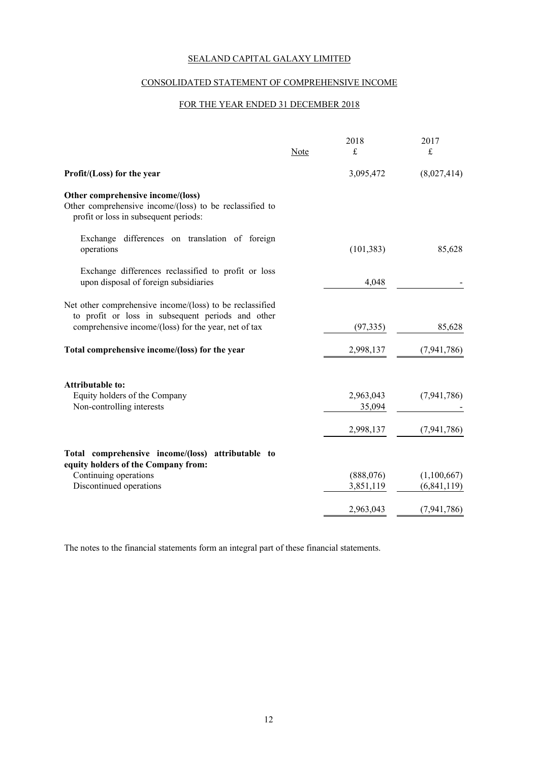## CONSOLIDATED STATEMENT OF COMPREHENSIVE INCOME

## FOR THE YEAR ENDED 31 DECEMBER 2018

|                                                                                                                                                                       | Note | 2018<br>£              | 2017<br>$\mathbf f$          |
|-----------------------------------------------------------------------------------------------------------------------------------------------------------------------|------|------------------------|------------------------------|
|                                                                                                                                                                       |      |                        |                              |
| Profit/(Loss) for the year                                                                                                                                            |      | 3,095,472              | (8,027,414)                  |
| Other comprehensive income/(loss)<br>Other comprehensive income/(loss) to be reclassified to<br>profit or loss in subsequent periods:                                 |      |                        |                              |
| Exchange differences on translation of foreign<br>operations                                                                                                          |      | (101, 383)             | 85,628                       |
| Exchange differences reclassified to profit or loss<br>upon disposal of foreign subsidiaries                                                                          |      | 4,048                  |                              |
| Net other comprehensive income/(loss) to be reclassified<br>to profit or loss in subsequent periods and other<br>comprehensive income/(loss) for the year, net of tax |      | (97, 335)              | 85,628                       |
| Total comprehensive income/(loss) for the year                                                                                                                        |      | 2,998,137              | (7, 941, 786)                |
| <b>Attributable to:</b><br>Equity holders of the Company<br>Non-controlling interests                                                                                 |      | 2,963,043<br>35,094    | (7, 941, 786)                |
|                                                                                                                                                                       |      | 2,998,137              | (7, 941, 786)                |
| Total comprehensive income/(loss) attributable to<br>equity holders of the Company from:                                                                              |      |                        |                              |
| Continuing operations<br>Discontinued operations                                                                                                                      |      | (888,076)<br>3,851,119 | (1,100,667)<br>(6, 841, 119) |
|                                                                                                                                                                       |      | 2,963,043              | (7, 941, 786)                |

The notes to the financial statements form an integral part of these financial statements.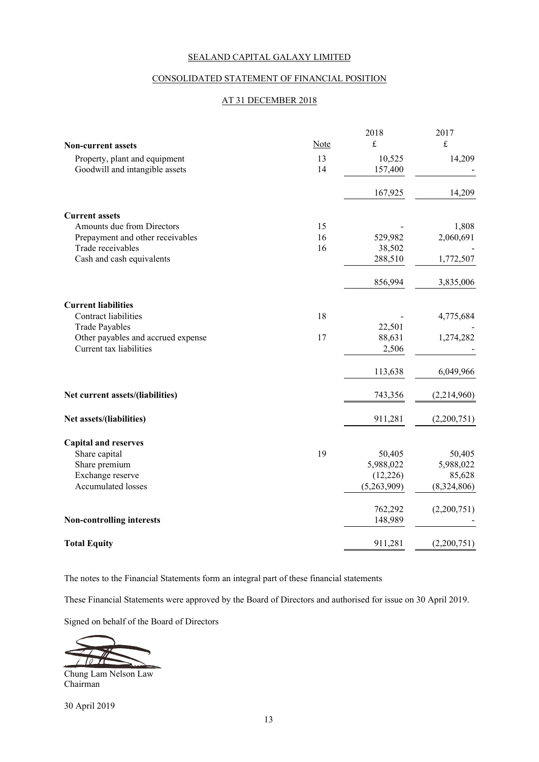## CONSOLIDATED STATEMENT OF FINANCIAL POSITION

## AT 31 DECEMBER 2018

|                                    |             | 2018        | 2017        |
|------------------------------------|-------------|-------------|-------------|
| <b>Non-current assets</b>          | <b>Note</b> | $\pounds$   | $\mathbf f$ |
| Property, plant and equipment      | 13          | 10,525      | 14,209      |
| Goodwill and intangible assets     | 14          | 157,400     |             |
|                                    |             |             |             |
|                                    |             | 167,925     | 14,209      |
|                                    |             |             |             |
| <b>Current assets</b>              |             |             |             |
| Amounts due from Directors         | 15          |             | 1,808       |
| Prepayment and other receivables   | 16          | 529,982     | 2,060,691   |
| Trade receivables                  | 16          | 38,502      |             |
| Cash and cash equivalents          |             | 288,510     | 1,772,507   |
|                                    |             | 856,994     | 3,835,006   |
| <b>Current liabilities</b>         |             |             |             |
| Contract liabilities               | 18          |             | 4,775,684   |
| <b>Trade Payables</b>              |             | 22,501      |             |
| Other payables and accrued expense | 17          | 88,631      | 1,274,282   |
| Current tax liabilities            |             | 2,506       |             |
|                                    |             | 113,638     | 6,049,966   |
| Net current assets/(liabilities)   |             | 743,356     | (2,214,960) |
| Net assets/(liabilities)           |             | 911,281     | (2,200,751) |
| <b>Capital and reserves</b>        |             |             |             |
| Share capital                      | 19          | 50,405      | 50,405      |
| Share premium                      |             | 5,988,022   | 5,988,022   |
| Exchange reserve                   |             | (12, 226)   | 85,628      |
| <b>Accumulated losses</b>          |             | (5,263,909) | (8,324,806) |
|                                    |             | 762,292     | (2,200,751) |
| <b>Non-controlling interests</b>   |             | 148,989     |             |
| <b>Total Equity</b>                |             | 911,281     | (2,200,751) |

The notes to the Financial Statements form an integral part of these financial statements

These Financial Statements were approved by the Board of Directors and authorised for issue on 30 April 2019.

Signed on behalf of the Board of Directors

 $\overline{\phantom{a}}$ 

30 April 2019

Chung Lam Nelson Law Chairman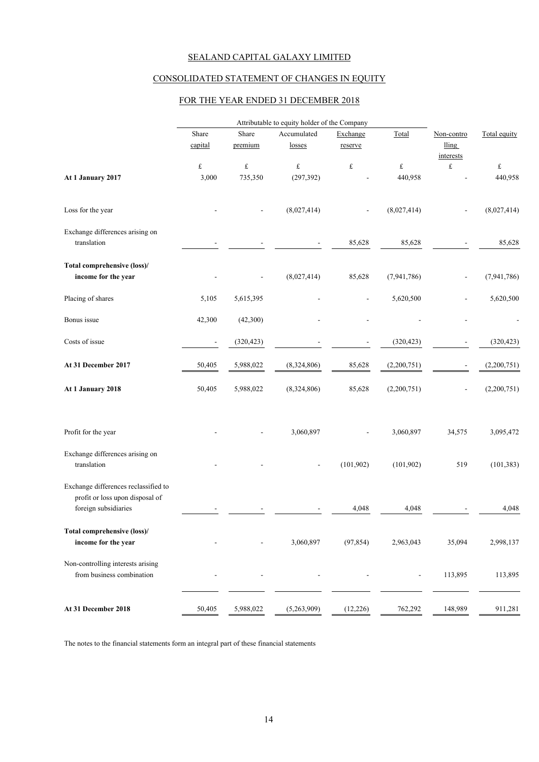# CONSOLIDATED STATEMENT OF CHANGES IN EQUITY

## FOR THE YEAR ENDED 31 DECEMBER 2018

|                                                                                                 |                    |                      | Attributable to equity holder of the Company |                     |                      |                                  |                      |
|-------------------------------------------------------------------------------------------------|--------------------|----------------------|----------------------------------------------|---------------------|----------------------|----------------------------------|----------------------|
|                                                                                                 | Share<br>capital   | Share<br>premium     | Accumulated<br>losses                        | Exchange<br>reserve | Total                | Non-contro<br>lling<br>interests | Total equity         |
| At 1 January 2017                                                                               | $\pounds$<br>3,000 | $\pounds$<br>735,350 | $\pounds$<br>(297, 392)                      | $\pounds$           | $\pounds$<br>440,958 | £                                | $\pounds$<br>440,958 |
| Loss for the year                                                                               |                    |                      | (8,027,414)                                  |                     | (8,027,414)          |                                  | (8,027,414)          |
| Exchange differences arising on<br>translation                                                  |                    |                      |                                              | 85,628              | 85,628               |                                  | 85,628               |
| Total comprehensive (loss)/<br>income for the year                                              |                    |                      | (8,027,414)                                  | 85,628              | (7,941,786)          |                                  | (7,941,786)          |
| Placing of shares                                                                               | 5,105              | 5,615,395            |                                              |                     | 5,620,500            |                                  | 5,620,500            |
| Bonus issue                                                                                     | 42,300             | (42,300)             |                                              |                     |                      |                                  |                      |
| Costs of issue                                                                                  |                    | (320, 423)           |                                              |                     | (320, 423)           |                                  | (320, 423)           |
| At 31 December 2017                                                                             | 50,405             | 5,988,022            | (8,324,806)                                  | 85,628              | (2,200,751)          |                                  | (2,200,751)          |
| At 1 January 2018                                                                               | 50,405             | 5,988,022            | (8,324,806)                                  | 85,628              | (2,200,751)          |                                  | (2,200,751)          |
| Profit for the year                                                                             |                    |                      | 3,060,897                                    |                     | 3,060,897            | 34,575                           | 3,095,472            |
| Exchange differences arising on<br>translation                                                  |                    |                      |                                              | (101, 902)          | (101, 902)           | 519                              | (101, 383)           |
| Exchange differences reclassified to<br>profit or loss upon disposal of<br>foreign subsidiaries |                    |                      |                                              | 4,048               | 4,048                |                                  | 4,048                |
| Total comprehensive (loss)/<br>income for the year                                              |                    |                      | 3,060,897                                    | (97, 854)           | 2,963,043            | 35,094                           | 2,998,137            |
| Non-controlling interests arising<br>from business combination                                  |                    |                      |                                              |                     |                      | 113,895                          | 113,895              |
| At 31 December 2018                                                                             | 50,405             | 5,988,022            | (5,263,909)                                  | (12,226)            | 762,292              | 148,989                          | 911,281              |

The notes to the financial statements form an integral part of these financial statements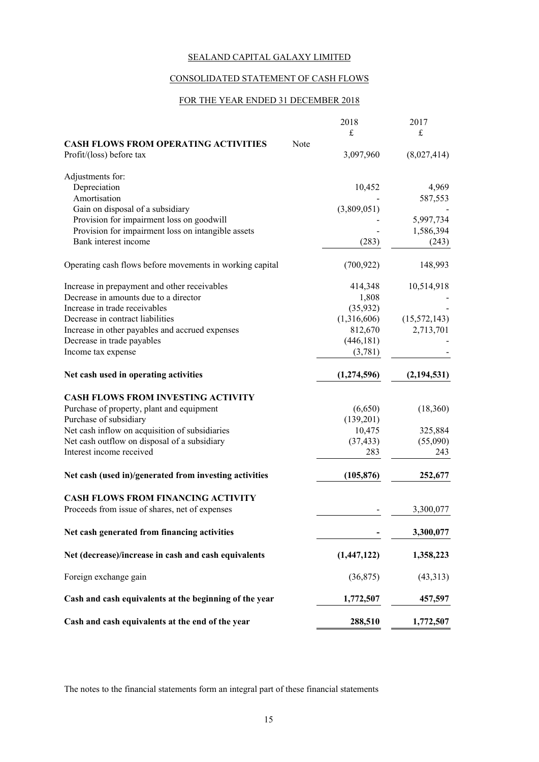# CONSOLIDATED STATEMENT OF CASH FLOWS

## FOR THE YEAR ENDED 31 DECEMBER 2018

|                                                          |      | 2018        | 2017           |
|----------------------------------------------------------|------|-------------|----------------|
|                                                          |      | £           | £              |
| <b>CASH FLOWS FROM OPERATING ACTIVITIES</b>              | Note |             |                |
| Profit/(loss) before tax                                 |      | 3,097,960   | (8,027,414)    |
| Adjustments for:                                         |      |             |                |
| Depreciation                                             |      | 10,452      | 4,969          |
| Amortisation                                             |      |             | 587,553        |
| Gain on disposal of a subsidiary                         |      | (3,809,051) |                |
| Provision for impairment loss on goodwill                |      |             | 5,997,734      |
| Provision for impairment loss on intangible assets       |      |             | 1,586,394      |
| Bank interest income                                     |      | (283)       | (243)          |
| Operating cash flows before movements in working capital |      | (700, 922)  | 148,993        |
| Increase in prepayment and other receivables             |      | 414,348     | 10,514,918     |
| Decrease in amounts due to a director                    |      | 1,808       |                |
| Increase in trade receivables                            |      | (35, 932)   |                |
| Decrease in contract liabilities                         |      | (1,316,606) | (15, 572, 143) |
| Increase in other payables and accrued expenses          |      | 812,670     | 2,713,701      |
| Decrease in trade payables                               |      | (446, 181)  |                |
| Income tax expense                                       |      | (3,781)     |                |
| Net cash used in operating activities                    |      | (1,274,596) | (2,194,531)    |
| <b>CASH FLOWS FROM INVESTING ACTIVITY</b>                |      |             |                |
| Purchase of property, plant and equipment                |      | (6,650)     | (18,360)       |
| Purchase of subsidiary                                   |      | (139,201)   |                |
| Net cash inflow on acquisition of subsidiaries           |      | 10,475      | 325,884        |
| Net cash outflow on disposal of a subsidiary             |      | (37, 433)   | (55,090)       |
| Interest income received                                 |      | 283         | 243            |
| Net cash (used in)/generated from investing activities   |      | (105, 876)  | 252,677        |
| <b>CASH FLOWS FROM FINANCING ACTIVITY</b>                |      |             |                |
| Proceeds from issue of shares, net of expenses           |      |             | 3,300,077      |
| Net cash generated from financing activities             |      |             | 3,300,077      |
| Net (decrease)/increase in cash and cash equivalents     |      | (1,447,122) | 1,358,223      |
| Foreign exchange gain                                    |      | (36,875)    | (43,313)       |
| Cash and cash equivalents at the beginning of the year   |      | 1,772,507   | 457,597        |
| Cash and cash equivalents at the end of the year         |      | 288,510     | 1,772,507      |

The notes to the financial statements form an integral part of these financial statements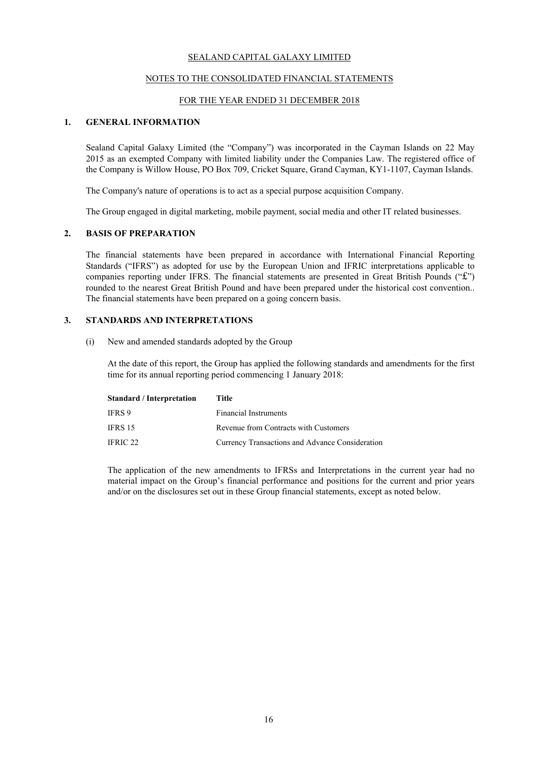#### NOTES TO THE CONSOLIDATED FINANCIAL STATEMENTS

#### FOR THE YEAR ENDED 31 DECEMBER 2018

#### **1. GENERAL INFORMATION**

Sealand Capital Galaxy Limited (the "Company") was incorporated in the Cayman Islands on 22 May 2015 as an exempted Company with limited liability under the Companies Law. The registered office of the Company is Willow House, PO Box 709, Cricket Square, Grand Cayman, KY1-1107, Cayman Islands.

The Company's nature of operations is to act as a special purpose acquisition Company.

The Group engaged in digital marketing, mobile payment, social media and other IT related businesses.

### **2. BASIS OF PREPARATION**

The financial statements have been prepared in accordance with International Financial Reporting Standards ("IFRS") as adopted for use by the European Union and IFRIC interpretations applicable to companies reporting under IFRS. The financial statements are presented in Great British Pounds ("[£](https://en.wikipedia.org/wiki/Pound_sign)") rounded to the nearest Great British Pound and have been prepared under the historical cost convention.. The financial statements have been prepared on a going concern basis.

### **3. STANDARDS AND INTERPRETATIONS**

(i) New and amended standards adopted by the Group

At the date of this report, the Group has applied the following standards and amendments for the first time for its annual reporting period commencing 1 January 2018:

| <b>Standard / Interpretation</b> | Title                                           |
|----------------------------------|-------------------------------------------------|
| IFRS 9                           | Financial Instruments                           |
| <b>IFRS 15</b>                   | Revenue from Contracts with Customers           |
| IFRIC 22                         | Currency Transactions and Advance Consideration |

The application of the new amendments to IFRSs and Interpretations in the current year had no material impact on the Group's financial performance and positions for the current and prior years and/or on the disclosures set out in these Group financial statements, except as noted below.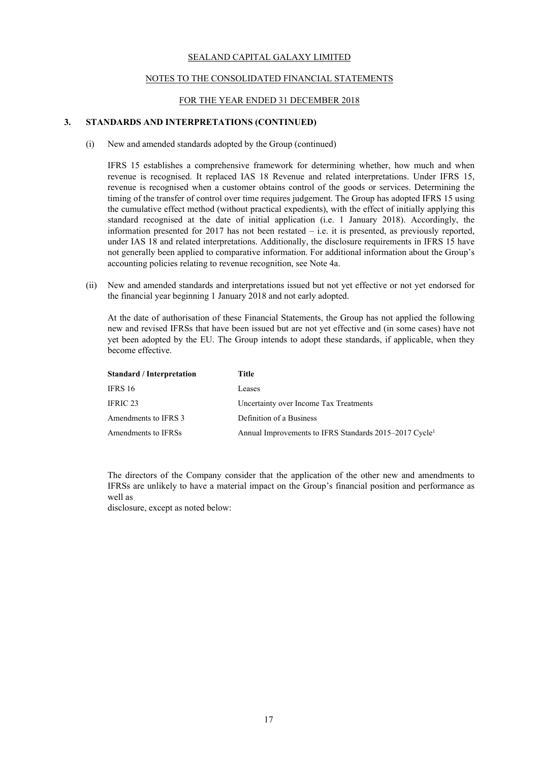#### NOTES TO THE CONSOLIDATED FINANCIAL STATEMENTS

#### FOR THE YEAR ENDED 31 DECEMBER 2018

### **3. STANDARDS AND INTERPRETATIONS (CONTINUED)**

(i) New and amended standards adopted by the Group (continued)

IFRS 15 establishes a comprehensive framework for determining whether, how much and when revenue is recognised. It replaced IAS 18 Revenue and related interpretations. Under IFRS 15, revenue is recognised when a customer obtains control of the goods or services. Determining the timing of the transfer of control over time requires judgement. The Group has adopted IFRS 15 using the cumulative effect method (without practical expedients), with the effect of initially applying this standard recognised at the date of initial application (i.e. 1 January 2018). Accordingly, the information presented for 2017 has not been restated – i.e. it is presented, as previously reported, under IAS 18 and related interpretations. Additionally, the disclosure requirements in IFRS 15 have not generally been applied to comparative information. For additional information about the Group's accounting policies relating to revenue recognition, see Note 4a.

(ii) New and amended standards and interpretations issued but not yet effective or not yet endorsed for the financial year beginning 1 January 2018 and not early adopted.

At the date of authorisation of these Financial Statements, the Group has not applied the following new and revised IFRSs that have been issued but are not yet effective and (in some cases) have not yet been adopted by the EU. The Group intends to adopt these standards, if applicable, when they become effective.

| <b>Standard / Interpretation</b> | Title                                                              |
|----------------------------------|--------------------------------------------------------------------|
| IFRS 16                          | Leases                                                             |
| IFRIC 23                         | Uncertainty over Income Tax Treatments                             |
| Amendments to IFRS 3             | Definition of a Business                                           |
| Amendments to IFRSs              | Annual Improvements to IFRS Standards 2015-2017 Cycle <sup>1</sup> |

The directors of the Company consider that the application of the other new and amendments to IFRSs are unlikely to have a material impact on the Group's financial position and performance as well as

disclosure, except as noted below: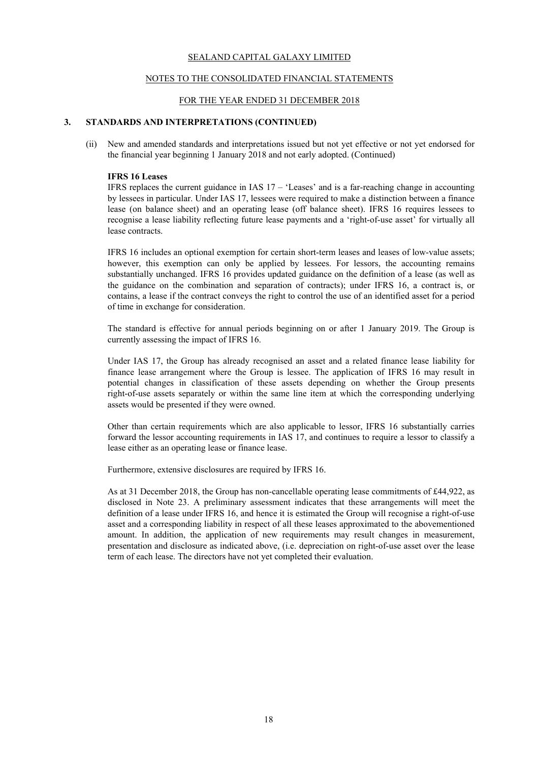#### NOTES TO THE CONSOLIDATED FINANCIAL STATEMENTS

#### FOR THE YEAR ENDED 31 DECEMBER 2018

#### **3. STANDARDS AND INTERPRETATIONS (CONTINUED)**

(ii) New and amended standards and interpretations issued but not yet effective or not yet endorsed for the financial year beginning 1 January 2018 and not early adopted. (Continued)

#### **IFRS 16 Leases**

IFRS replaces the current guidance in IAS 17 – 'Leases' and is a far-reaching change in accounting by lessees in particular. Under IAS 17, lessees were required to make a distinction between a finance lease (on balance sheet) and an operating lease (off balance sheet). IFRS 16 requires lessees to recognise a lease liability reflecting future lease payments and a 'right-of-use asset' for virtually all lease contracts.

IFRS 16 includes an optional exemption for certain short-term leases and leases of low-value assets; however, this exemption can only be applied by lessees. For lessors, the accounting remains substantially unchanged. IFRS 16 provides updated guidance on the definition of a lease (as well as the guidance on the combination and separation of contracts); under IFRS 16, a contract is, or contains, a lease if the contract conveys the right to control the use of an identified asset for a period of time in exchange for consideration.

The standard is effective for annual periods beginning on or after 1 January 2019. The Group is currently assessing the impact of IFRS 16.

Under IAS 17, the Group has already recognised an asset and a related finance lease liability for finance lease arrangement where the Group is lessee. The application of IFRS 16 may result in potential changes in classification of these assets depending on whether the Group presents right-of-use assets separately or within the same line item at which the corresponding underlying assets would be presented if they were owned.

Other than certain requirements which are also applicable to lessor, IFRS 16 substantially carries forward the lessor accounting requirements in IAS 17, and continues to require a lessor to classify a lease either as an operating lease or finance lease.

Furthermore, extensive disclosures are required by IFRS 16.

As at 31 December 2018, the Group has non-cancellable operating lease commitments of [£4](https://en.wikipedia.org/wiki/Pound_sign)4,922, as disclosed in Note 23. A preliminary assessment indicates that these arrangements will meet the definition of a lease under IFRS 16, and hence it is estimated the Group will recognise a right-of-use asset and a corresponding liability in respect of all these leases approximated to the abovementioned amount. In addition, the application of new requirements may result changes in measurement, presentation and disclosure as indicated above, (i.e. depreciation on right-of-use asset over the lease term of each lease. The directors have not yet completed their evaluation.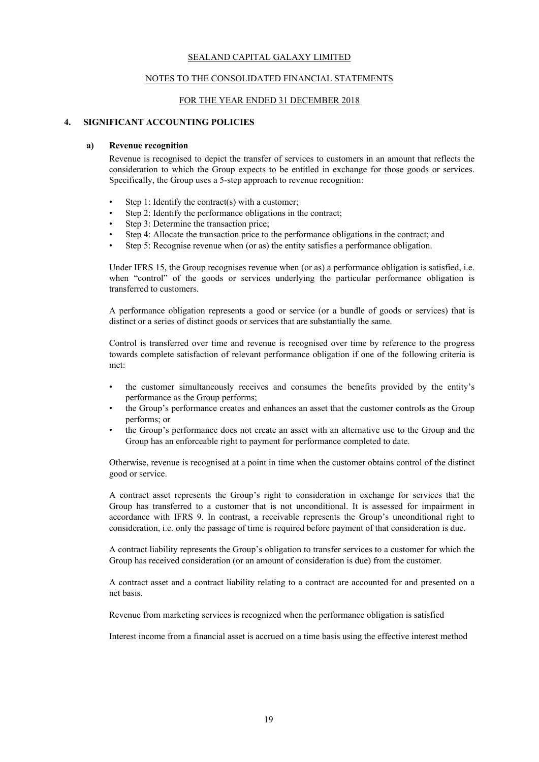#### NOTES TO THE CONSOLIDATED FINANCIAL STATEMENTS

#### FOR THE YEAR ENDED 31 DECEMBER 2018

#### **4. SIGNIFICANT ACCOUNTING POLICIES**

#### **a) Revenue recognition**

Revenue is recognised to depict the transfer of services to customers in an amount that reflects the consideration to which the Group expects to be entitled in exchange for those goods or services. Specifically, the Group uses a 5-step approach to revenue recognition:

- Step 1: Identify the contract(s) with a customer;
- Step 2: Identify the performance obligations in the contract;
- Step 3: Determine the transaction price;
- Step 4: Allocate the transaction price to the performance obligations in the contract; and
- Step 5: Recognise revenue when (or as) the entity satisfies a performance obligation.

Under IFRS 15, the Group recognises revenue when (or as) a performance obligation is satisfied, i.e. when "control" of the goods or services underlying the particular performance obligation is transferred to customers.

A performance obligation represents a good or service (or a bundle of goods or services) that is distinct or a series of distinct goods or services that are substantially the same.

Control is transferred over time and revenue is recognised over time by reference to the progress towards complete satisfaction of relevant performance obligation if one of the following criteria is met:

- the customer simultaneously receives and consumes the benefits provided by the entity's performance as the Group performs;
- the Group's performance creates and enhances an asset that the customer controls as the Group performs; or
- the Group's performance does not create an asset with an alternative use to the Group and the Group has an enforceable right to payment for performance completed to date.

Otherwise, revenue is recognised at a point in time when the customer obtains control of the distinct good or service.

A contract asset represents the Group's right to consideration in exchange for services that the Group has transferred to a customer that is not unconditional. It is assessed for impairment in accordance with IFRS 9. In contrast, a receivable represents the Group's unconditional right to consideration, i.e. only the passage of time is required before payment of that consideration is due.

A contract liability represents the Group's obligation to transfer services to a customer for which the Group has received consideration (or an amount of consideration is due) from the customer.

A contract asset and a contract liability relating to a contract are accounted for and presented on a net basis.

Revenue from marketing services is recognized when the performance obligation is satisfied

Interest income from a financial asset is accrued on a time basis using the effective interest method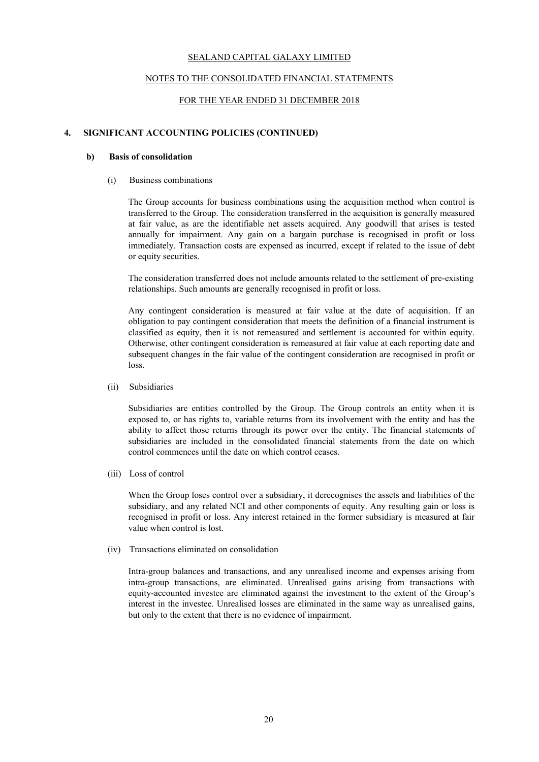#### NOTES TO THE CONSOLIDATED FINANCIAL STATEMENTS

#### FOR THE YEAR ENDED 31 DECEMBER 2018

#### **4. SIGNIFICANT ACCOUNTING POLICIES (CONTINUED)**

#### **b) Basis of consolidation**

(i) Business combinations

The Group accounts for business combinations using the acquisition method when control is transferred to the Group. The consideration transferred in the acquisition is generally measured at fair value, as are the identifiable net assets acquired. Any goodwill that arises is tested annually for impairment. Any gain on a bargain purchase is recognised in profit or loss immediately. Transaction costs are expensed as incurred, except if related to the issue of debt or equity securities.

The consideration transferred does not include amounts related to the settlement of pre-existing relationships. Such amounts are generally recognised in profit or loss.

Any contingent consideration is measured at fair value at the date of acquisition. If an obligation to pay contingent consideration that meets the definition of a financial instrument is classified as equity, then it is not remeasured and settlement is accounted for within equity. Otherwise, other contingent consideration is remeasured at fair value at each reporting date and subsequent changes in the fair value of the contingent consideration are recognised in profit or loss.

(ii) Subsidiaries

Subsidiaries are entities controlled by the Group. The Group controls an entity when it is exposed to, or has rights to, variable returns from its involvement with the entity and has the ability to affect those returns through its power over the entity. The financial statements of subsidiaries are included in the consolidated financial statements from the date on which control commences until the date on which control ceases.

(iii) Loss of control

When the Group loses control over a subsidiary, it derecognises the assets and liabilities of the subsidiary, and any related NCI and other components of equity. Any resulting gain or loss is recognised in profit or loss. Any interest retained in the former subsidiary is measured at fair value when control is lost.

(iv) Transactions eliminated on consolidation

Intra-group balances and transactions, and any unrealised income and expenses arising from intra-group transactions, are eliminated. Unrealised gains arising from transactions with equity-accounted investee are eliminated against the investment to the extent of the Group's interest in the investee. Unrealised losses are eliminated in the same way as unrealised gains, but only to the extent that there is no evidence of impairment.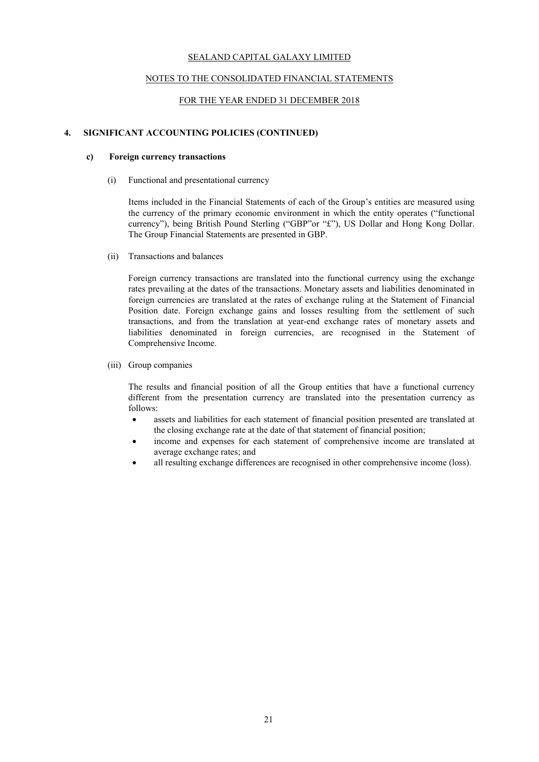#### NOTES TO THE CONSOLIDATED FINANCIAL STATEMENTS

#### FOR THE YEAR ENDED 31 DECEMBER 2018

#### **4. SIGNIFICANT ACCOUNTING POLICIES (CONTINUED)**

#### **c) Foreign currency transactions**

(i) Functional and presentational currency

Items included in the Financial Statements of each of the Group's entities are measured using the currency of the primary economic environment in which the entity operates ("functional currency"), being British Pound Sterling ("GBP"or ["£](https://en.wikipedia.org/wiki/Pound_sign)"), US Dollar and Hong Kong Dollar. The Group Financial Statements are presented in GBP.

(ii) Transactions and balances

Foreign currency transactions are translated into the functional currency using the exchange rates prevailing at the dates of the transactions. Monetary assets and liabilities denominated in foreign currencies are translated at the rates of exchange ruling at the Statement of Financial Position date. Foreign exchange gains and losses resulting from the settlement of such transactions, and from the translation at year-end exchange rates of monetary assets and liabilities denominated in foreign currencies, are recognised in the Statement of Comprehensive Income.

(iii) Group companies

The results and financial position of all the Group entities that have a functional currency different from the presentation currency are translated into the presentation currency as follows:

- assets and liabilities for each statement of financial position presented are translated at the closing exchange rate at the date of that statement of financial position;
- income and expenses for each statement of comprehensive income are translated at average exchange rates; and
- all resulting exchange differences are recognised in other comprehensive income (loss).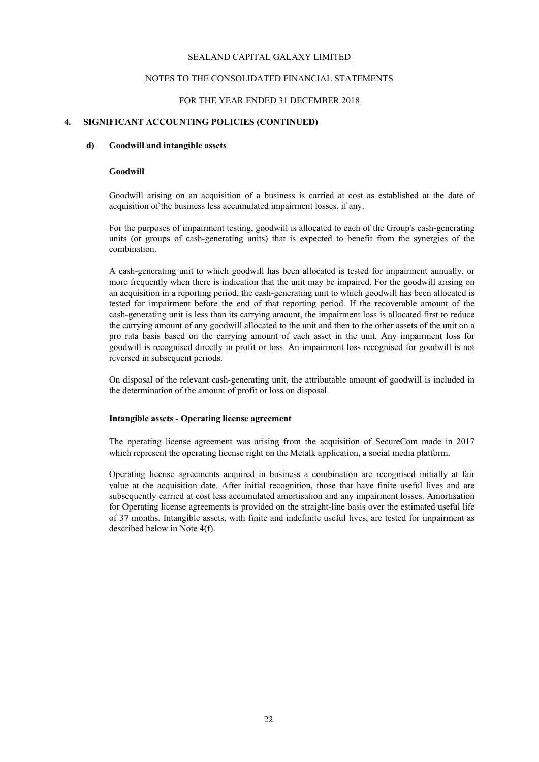#### NOTES TO THE CONSOLIDATED FINANCIAL STATEMENTS

#### FOR THE YEAR ENDED 31 DECEMBER 2018

## **4. SIGNIFICANT ACCOUNTING POLICIES (CONTINUED)**

### **d) Goodwill and intangible assets**

#### **Goodwill**

Goodwill arising on an acquisition of a business is carried at cost as established at the date of acquisition of the business less accumulated impairment losses, if any.

For the purposes of impairment testing, goodwill is allocated to each of the Group's cash-generating units (or groups of cash-generating units) that is expected to benefit from the synergies of the combination.

A cash-generating unit to which goodwill has been allocated is tested for impairment annually, or more frequently when there is indication that the unit may be impaired. For the goodwill arising on an acquisition in a reporting period, the cash-generating unit to which goodwill has been allocated is tested for impairment before the end of that reporting period. If the recoverable amount of the cash-generating unit is less than its carrying amount, the impairment loss is allocated first to reduce the carrying amount of any goodwill allocated to the unit and then to the other assets of the unit on a pro rata basis based on the carrying amount of each asset in the unit. Any impairment loss for goodwill is recognised directly in profit or loss. An impairment loss recognised for goodwill is not reversed in subsequent periods.

On disposal of the relevant cash-generating unit, the attributable amount of goodwill is included in the determination of the amount of profit or loss on disposal.

#### **Intangible assets - Operating license agreement**

The operating license agreement was arising from the acquisition of SecureCom made in 2017 which represent the operating license right on the Metalk application, a social media platform.

Operating license agreements acquired in business a combination are recognised initially at fair value at the acquisition date. After initial recognition, those that have finite useful lives and are subsequently carried at cost less accumulated amortisation and any impairment losses. Amortisation for Operating license agreements is provided on the straight-line basis over the estimated useful life of 37 months. Intangible assets, with finite and indefinite useful lives, are tested for impairment as described below in Note 4(f).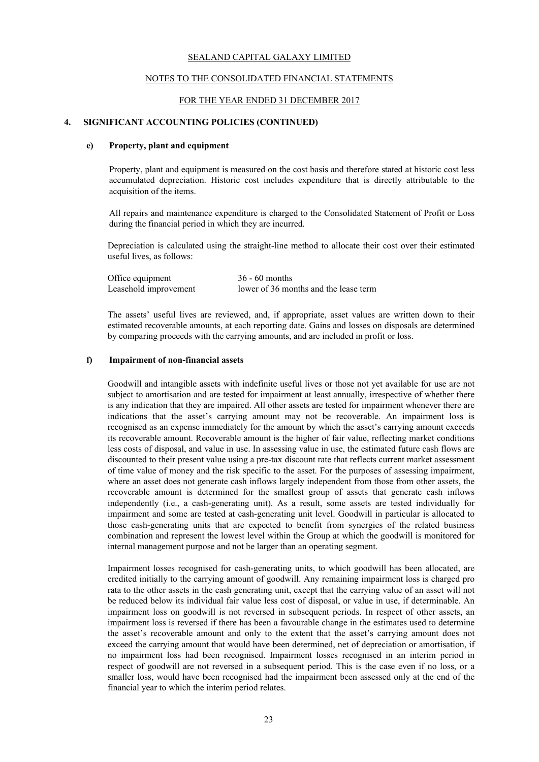#### NOTES TO THE CONSOLIDATED FINANCIAL STATEMENTS

#### FOR THE YEAR ENDED 31 DECEMBER 2017

#### **4. SIGNIFICANT ACCOUNTING POLICIES (CONTINUED)**

### **e) Property, plant and equipment**

Property, plant and equipment is measured on the cost basis and therefore stated at historic cost less accumulated depreciation. Historic cost includes expenditure that is directly attributable to the acquisition of the items.

All repairs and maintenance expenditure is charged to the Consolidated Statement of Profit or Loss during the financial period in which they are incurred.

Depreciation is calculated using the straight-line method to allocate their cost over their estimated useful lives, as follows:

| Office equipment      | $36 - 60$ months                      |
|-----------------------|---------------------------------------|
| Leasehold improvement | lower of 36 months and the lease term |

The assets' useful lives are reviewed, and, if appropriate, asset values are written down to their estimated recoverable amounts, at each reporting date. Gains and losses on disposals are determined by comparing proceeds with the carrying amounts, and are included in profit or loss.

#### **f) Impairment of non-financial assets**

Goodwill and intangible assets with indefinite useful lives or those not yet available for use are not subject to amortisation and are tested for impairment at least annually, irrespective of whether there is any indication that they are impaired. All other assets are tested for impairment whenever there are indications that the asset's carrying amount may not be recoverable. An impairment loss is recognised as an expense immediately for the amount by which the asset's carrying amount exceeds its recoverable amount. Recoverable amount is the higher of fair value, reflecting market conditions less costs of disposal, and value in use. In assessing value in use, the estimated future cash flows are discounted to their present value using a pre-tax discount rate that reflects current market assessment of time value of money and the risk specific to the asset. For the purposes of assessing impairment, where an asset does not generate cash inflows largely independent from those from other assets, the recoverable amount is determined for the smallest group of assets that generate cash inflows independently (i.e., a cash-generating unit). As a result, some assets are tested individually for impairment and some are tested at cash-generating unit level. Goodwill in particular is allocated to those cash-generating units that are expected to benefit from synergies of the related business combination and represent the lowest level within the Group at which the goodwill is monitored for internal management purpose and not be larger than an operating segment.

Impairment losses recognised for cash-generating units, to which goodwill has been allocated, are credited initially to the carrying amount of goodwill. Any remaining impairment loss is charged pro rata to the other assets in the cash generating unit, except that the carrying value of an asset will not be reduced below its individual fair value less cost of disposal, or value in use, if determinable. An impairment loss on goodwill is not reversed in subsequent periods. In respect of other assets, an impairment loss is reversed if there has been a favourable change in the estimates used to determine the asset's recoverable amount and only to the extent that the asset's carrying amount does not exceed the carrying amount that would have been determined, net of depreciation or amortisation, if no impairment loss had been recognised. Impairment losses recognised in an interim period in respect of goodwill are not reversed in a subsequent period. This is the case even if no loss, or a smaller loss, would have been recognised had the impairment been assessed only at the end of the financial year to which the interim period relates.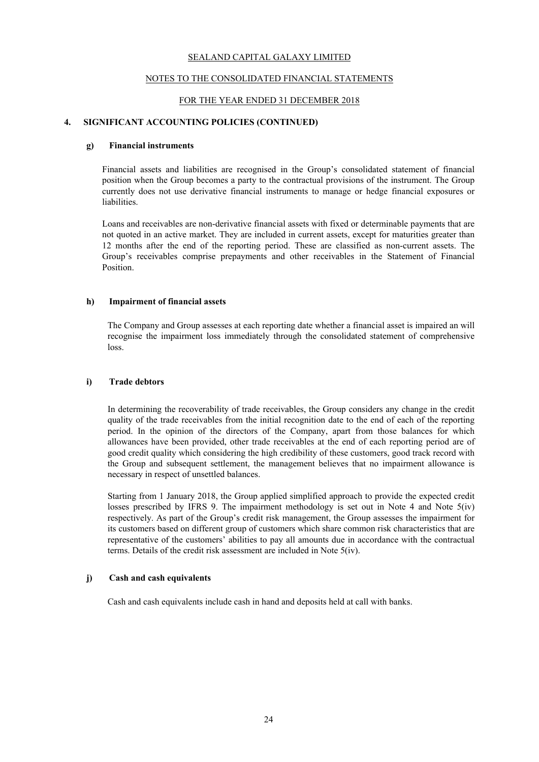#### NOTES TO THE CONSOLIDATED FINANCIAL STATEMENTS

#### FOR THE YEAR ENDED 31 DECEMBER 2018

#### **4. SIGNIFICANT ACCOUNTING POLICIES (CONTINUED)**

### **g) Financial instruments**

Financial assets and liabilities are recognised in the Group's consolidated statement of financial position when the Group becomes a party to the contractual provisions of the instrument. The Group currently does not use derivative financial instruments to manage or hedge financial exposures or liabilities.

Loans and receivables are non-derivative financial assets with fixed or determinable payments that are not quoted in an active market. They are included in current assets, except for maturities greater than 12 months after the end of the reporting period. These are classified as non-current assets. The Group's receivables comprise prepayments and other receivables in the Statement of Financial Position.

#### **h) Impairment of financial assets**

The Company and Group assesses at each reporting date whether a financial asset is impaired an will recognise the impairment loss immediately through the consolidated statement of comprehensive loss.

#### **i) Trade debtors**

In determining the recoverability of trade receivables, the Group considers any change in the credit quality of the trade receivables from the initial recognition date to the end of each of the reporting period. In the opinion of the directors of the Company, apart from those balances for which allowances have been provided, other trade receivables at the end of each reporting period are of good credit quality which considering the high credibility of these customers, good track record with the Group and subsequent settlement, the management believes that no impairment allowance is necessary in respect of unsettled balances.

Starting from 1 January 2018, the Group applied simplified approach to provide the expected credit losses prescribed by IFRS 9. The impairment methodology is set out in Note 4 and Note 5(iv) respectively. As part of the Group's credit risk management, the Group assesses the impairment for its customers based on different group of customers which share common risk characteristics that are representative of the customers' abilities to pay all amounts due in accordance with the contractual terms. Details of the credit risk assessment are included in Note 5(iv).

### **j) Cash and cash equivalents**

Cash and cash equivalents include cash in hand and deposits held at call with banks.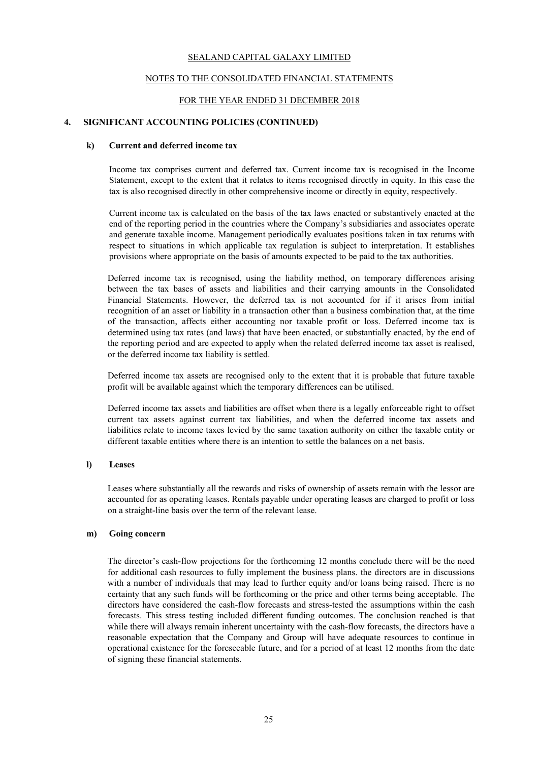#### NOTES TO THE CONSOLIDATED FINANCIAL STATEMENTS

#### FOR THE YEAR ENDED 31 DECEMBER 2018

## **4. SIGNIFICANT ACCOUNTING POLICIES (CONTINUED)**

### **k) Current and deferred income tax**

Income tax comprises current and deferred tax. Current income tax is recognised in the Income Statement, except to the extent that it relates to items recognised directly in equity. In this case the tax is also recognised directly in other comprehensive income or directly in equity, respectively.

Current income tax is calculated on the basis of the tax laws enacted or substantively enacted at the end of the reporting period in the countries where the Company's subsidiaries and associates operate and generate taxable income. Management periodically evaluates positions taken in tax returns with respect to situations in which applicable tax regulation is subject to interpretation. It establishes provisions where appropriate on the basis of amounts expected to be paid to the tax authorities.

Deferred income tax is recognised, using the liability method, on temporary differences arising between the tax bases of assets and liabilities and their carrying amounts in the Consolidated Financial Statements. However, the deferred tax is not accounted for if it arises from initial recognition of an asset or liability in a transaction other than a business combination that, at the time of the transaction, affects either accounting nor taxable profit or loss. Deferred income tax is determined using tax rates (and laws) that have been enacted, or substantially enacted, by the end of the reporting period and are expected to apply when the related deferred income tax asset is realised, or the deferred income tax liability is settled.

Deferred income tax assets are recognised only to the extent that it is probable that future taxable profit will be available against which the temporary differences can be utilised.

Deferred income tax assets and liabilities are offset when there is a legally enforceable right to offset current tax assets against current tax liabilities, and when the deferred income tax assets and liabilities relate to income taxes levied by the same taxation authority on either the taxable entity or different taxable entities where there is an intention to settle the balances on a net basis.

#### **l) Leases**

Leases where substantially all the rewards and risks of ownership of assets remain with the lessor are accounted for as operating leases. Rentals payable under operating leases are charged to profit or loss on a straight-line basis over the term of the relevant lease.

#### **m) Going concern**

The director's cash-flow projections for the forthcoming 12 months conclude there will be the need for additional cash resources to fully implement the business plans. the directors are in discussions with a number of individuals that may lead to further equity and/or loans being raised. There is no certainty that any such funds will be forthcoming or the price and other terms being acceptable. The directors have considered the cash-flow forecasts and stress-tested the assumptions within the cash forecasts. This stress testing included different funding outcomes. The conclusion reached is that while there will always remain inherent uncertainty with the cash-flow forecasts, the directors have a reasonable expectation that the Company and Group will have adequate resources to continue in operational existence for the foreseeable future, and for a period of at least 12 months from the date of signing these financial statements.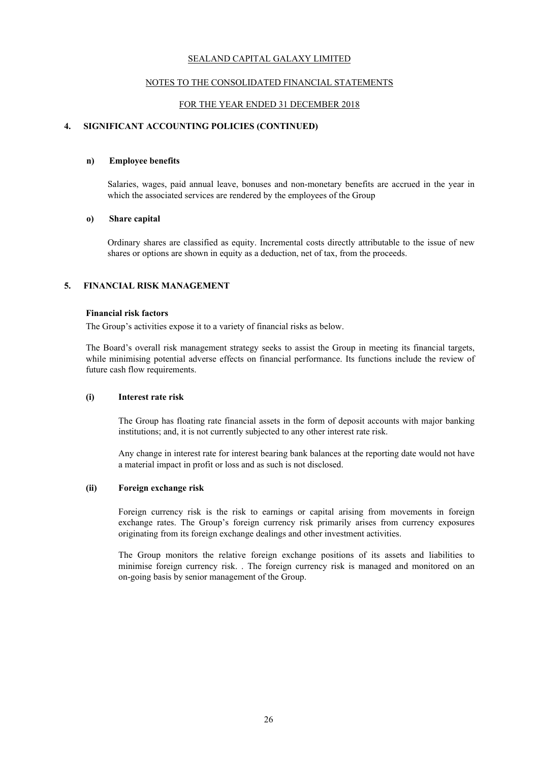#### NOTES TO THE CONSOLIDATED FINANCIAL STATEMENTS

### FOR THE YEAR ENDED 31 DECEMBER 2018

## **4. SIGNIFICANT ACCOUNTING POLICIES (CONTINUED)**

#### **n) Employee benefits**

Salaries, wages, paid annual leave, bonuses and non-monetary benefits are accrued in the year in which the associated services are rendered by the employees of the Group

#### **o) Share capital**

Ordinary shares are classified as equity. Incremental costs directly attributable to the issue of new shares or options are shown in equity as a deduction, net of tax, from the proceeds.

## **5. FINANCIAL RISK MANAGEMENT**

#### **Financial risk factors**

The Group's activities expose it to a variety of financial risks as below.

The Board's overall risk management strategy seeks to assist the Group in meeting its financial targets, while minimising potential adverse effects on financial performance. Its functions include the review of future cash flow requirements.

#### **(i) Interest rate risk**

The Group has floating rate financial assets in the form of deposit accounts with major banking institutions; and, it is not currently subjected to any other interest rate risk.

Any change in interest rate for interest bearing bank balances at the reporting date would not have a material impact in profit or loss and as such is not disclosed.

#### **(ii) Foreign exchange risk**

Foreign currency risk is the risk to earnings or capital arising from movements in foreign exchange rates. The Group's foreign currency risk primarily arises from currency exposures originating from its foreign exchange dealings and other investment activities.

The Group monitors the relative foreign exchange positions of its assets and liabilities to minimise foreign currency risk. . The foreign currency risk is managed and monitored on an on-going basis by senior management of the Group.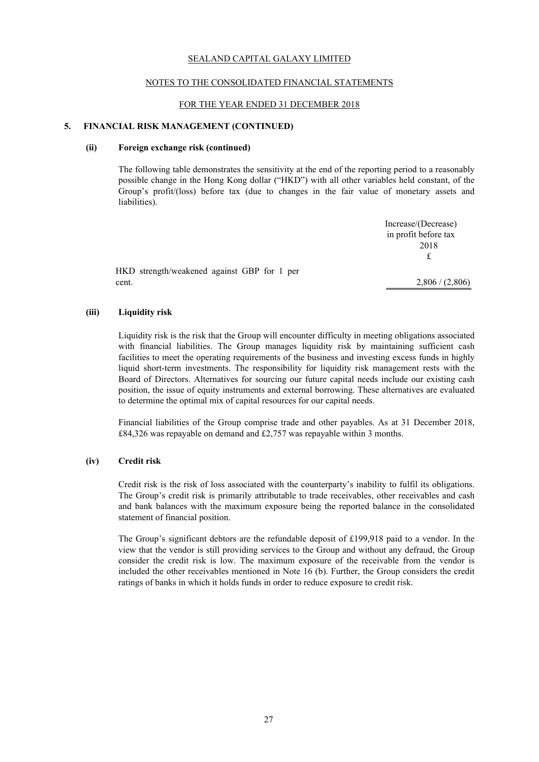#### NOTES TO THE CONSOLIDATED FINANCIAL STATEMENTS

#### FOR THE YEAR ENDED 31 DECEMBER 2018

#### **5. FINANCIAL RISK MANAGEMENT (CONTINUED)**

### **(ii) Foreign exchange risk (continued)**

The following table demonstrates the sensitivity at the end of the reporting period to a reasonably possible change in the Hong Kong dollar ("HKD") with all other variables held constant, of the Group's profit/(loss) before tax (due to changes in the fair value of monetary assets and liabilities).

|                                                      | Increase/(Decrease)<br>in profit before tax<br>2018 |
|------------------------------------------------------|-----------------------------------------------------|
|                                                      |                                                     |
| HKD strength/weakened against GBP for 1 per<br>cent. | 2,806 / (2,806)                                     |

### **(iii) Liquidity risk**

Liquidity risk is the risk that the Group will encounter difficulty in meeting obligations associated with financial liabilities. The Group manages liquidity risk by maintaining sufficient cash facilities to meet the operating requirements of the business and investing excess funds in highly liquid short-term investments. The responsibility for liquidity risk management rests with the Board of Directors. Alternatives for sourcing our future capital needs include our existing cash position, the issue of equity instruments and external borrowing. These alternatives are evaluated to determine the optimal mix of capital resources for our capital needs.

Financial liabilities of the Group comprise trade and other payables. As at 31 December 2018, [£8](https://en.wikipedia.org/wiki/Pound_sign)4,326 was repayable on demand and [£2](https://en.wikipedia.org/wiki/Pound_sign),757 was repayable within 3 months.

### **(iv) Credit risk**

Credit risk is the risk of loss associated with the counterparty's inability to fulfil its obligations. The Group's credit risk is primarily attributable to trade receivables, other receivables and cash and bank balances with the maximum exposure being the reported balance in the consolidated statement of financial position.

The Group's significant debtors are the refundable deposit of [£](https://en.wikipedia.org/wiki/Pound_sign)199,918 paid to a vendor. In the view that the vendor is still providing services to the Group and without any defraud, the Group consider the credit risk is low. The maximum exposure of the receivable from the vendor is included the other receivables mentioned in Note 16 (b). Further, the Group considers the credit ratings of banks in which it holds funds in order to reduce exposure to credit risk.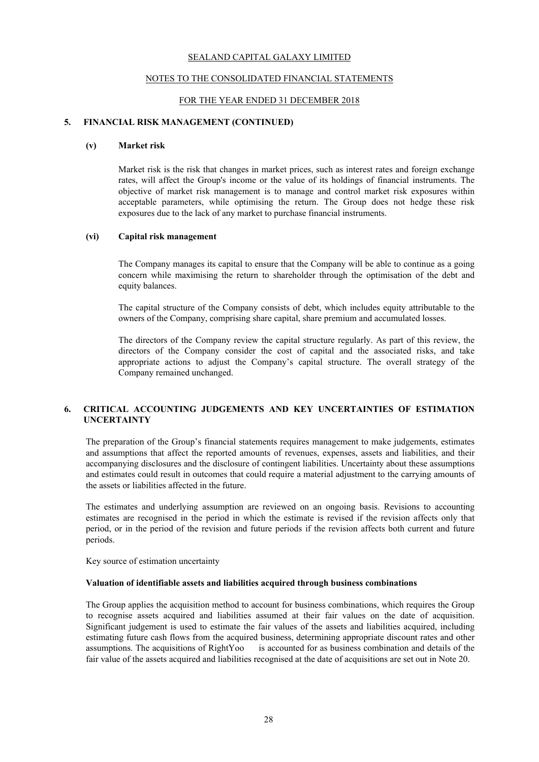#### NOTES TO THE CONSOLIDATED FINANCIAL STATEMENTS

#### FOR THE YEAR ENDED 31 DECEMBER 2018

#### **5. FINANCIAL RISK MANAGEMENT (CONTINUED)**

#### **(v) Market risk**

Market risk is the risk that changes in market prices, such as interest rates and foreign exchange rates, will affect the Group's income or the value of its holdings of financial instruments. The objective of market risk management is to manage and control market risk exposures within acceptable parameters, while optimising the return. The Group does not hedge these risk exposures due to the lack of any market to purchase financial instruments.

#### **(vi) Capital risk management**

The Company manages its capital to ensure that the Company will be able to continue as a going concern while maximising the return to shareholder through the optimisation of the debt and equity balances.

The capital structure of the Company consists of debt, which includes equity attributable to the owners of the Company, comprising share capital, share premium and accumulated losses.

The directors of the Company review the capital structure regularly. As part of this review, the directors of the Company consider the cost of capital and the associated risks, and take appropriate actions to adjust the Company's capital structure. The overall strategy of the Company remained unchanged.

## **6. CRITICAL ACCOUNTING JUDGEMENTS AND KEY UNCERTAINTIES OF ESTIMATION UNCERTAINTY**

The preparation of the Group's financial statements requires management to make judgements, estimates and assumptions that affect the reported amounts of revenues, expenses, assets and liabilities, and their accompanying disclosures and the disclosure of contingent liabilities. Uncertainty about these assumptions and estimates could result in outcomes that could require a material adjustment to the carrying amounts of the assets or liabilities affected in the future.

The estimates and underlying assumption are reviewed on an ongoing basis. Revisions to accounting estimates are recognised in the period in which the estimate is revised if the revision affects only that period, or in the period of the revision and future periods if the revision affects both current and future periods.

Key source of estimation uncertainty

#### **Valuation of identifiable assets and liabilities acquired through business combinations**

The Group applies the acquisition method to account for business combinations, which requires the Group to recognise assets acquired and liabilities assumed at their fair values on the date of acquisition. Significant judgement is used to estimate the fair values of the assets and liabilities acquired, including estimating future cash flows from the acquired business, determining appropriate discount rates and other assumptions. The acquisitions of RightYoo is accounted for as business combination and details of the fair value of the assets acquired and liabilities recognised at the date of acquisitions are set out in Note 20.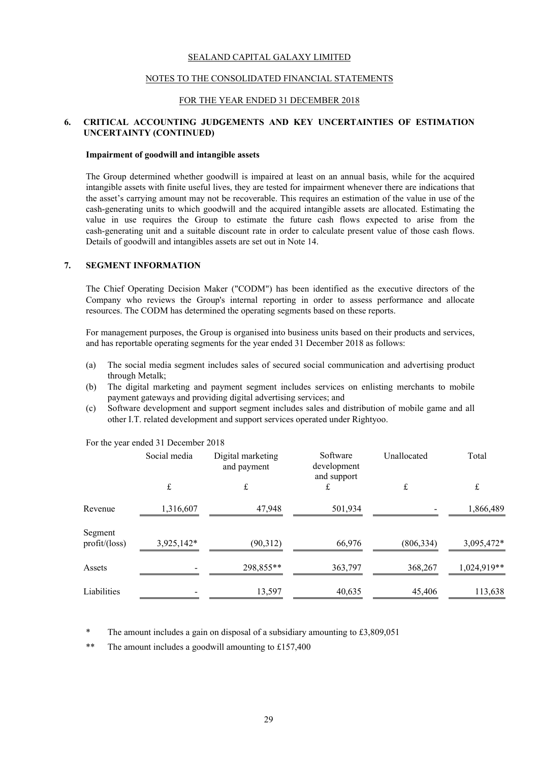#### NOTES TO THE CONSOLIDATED FINANCIAL STATEMENTS

#### FOR THE YEAR ENDED 31 DECEMBER 2018

## **6. CRITICAL ACCOUNTING JUDGEMENTS AND KEY UNCERTAINTIES OF ESTIMATION UNCERTAINTY (CONTINUED)**

#### **Impairment of goodwill and intangible assets**

The Group determined whether goodwill is impaired at least on an annual basis, while for the acquired intangible assets with finite useful lives, they are tested for impairment whenever there are indications that the asset's carrying amount may not be recoverable. This requires an estimation of the value in use of the cash-generating units to which goodwill and the acquired intangible assets are allocated. Estimating the value in use requires the Group to estimate the future cash flows expected to arise from the cash-generating unit and a suitable discount rate in order to calculate present value of those cash flows. Details of goodwill and intangibles assets are set out in Note 14.

## **7. SEGMENT INFORMATION**

The Chief Operating Decision Maker ("CODM") has been identified as the executive directors of the Company who reviews the Group's internal reporting in order to assess performance and allocate resources. The CODM has determined the operating segments based on these reports.

For management purposes, the Group is organised into business units based on their products and services, and has reportable operating segments for the year ended 31 December 2018 as follows:

- (a) The social media segment includes sales of secured social communication and advertising product through Metalk;
- (b) The digital marketing and payment segment includes services on enlisting merchants to mobile payment gateways and providing digital advertising services; and
- (c) Software development and support segment includes sales and distribution of mobile game and all other I.T. related development and support services operated under Rightyoo.

|                                   | Social media | Digital marketing<br>and payment | Software<br>development<br>and support | Unallocated | Total       |
|-----------------------------------|--------------|----------------------------------|----------------------------------------|-------------|-------------|
|                                   | £            | £                                | £                                      | £           | £           |
| Revenue                           | 1,316,607    | 47,948                           | 501,934                                |             | 1,866,489   |
| Segment<br>$profit/(\text{loss})$ | 3,925,142*   | (90,312)                         | 66,976                                 | (806, 334)  | 3,095,472*  |
| Assets                            |              | 298,855**                        | 363,797                                | 368,267     | 1,024,919** |
| Liabilities                       |              | 13,597                           | 40,635                                 | 45,406      | 113,638     |

For the year ended 31 December 2018

\* The amount includes a gain on disposal of a subsidiary amounting to [£3](https://en.wikipedia.org/wiki/Pound_sign),809,051

\*\* The amount includes a goodwill amounting to [£1](https://en.wikipedia.org/wiki/Pound_sign)57,400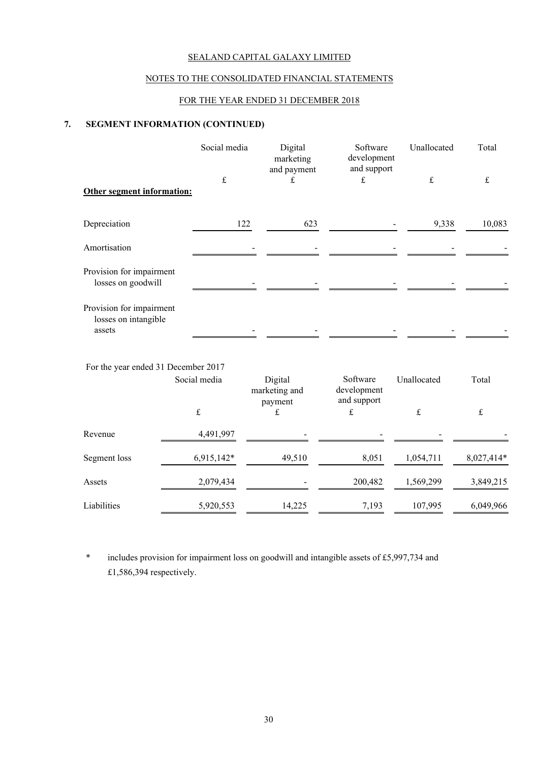# NOTES TO THE CONSOLIDATED FINANCIAL STATEMENTS

## FOR THE YEAR ENDED 31 DECEMBER 2018

# **7. SEGMENT INFORMATION (CONTINUED)**

|                                                            | Social media | Digital<br>marketing<br>and payment | Software<br>development<br>and support | Unallocated | Total     |
|------------------------------------------------------------|--------------|-------------------------------------|----------------------------------------|-------------|-----------|
| Other segment information:                                 | £            | £                                   | £                                      | £           | $f_{\rm}$ |
| Depreciation                                               | 122          | 623                                 |                                        | 9,338       | 10,083    |
| Amortisation                                               |              |                                     |                                        |             |           |
| Provision for impairment<br>losses on goodwill             |              |                                     |                                        |             |           |
| Provision for impairment<br>losses on intangible<br>assets |              |                                     |                                        |             |           |

For the year ended 31 December 2017

|              | Social media | Digital<br>marketing and<br>payment | Software<br>development<br>and support | Unallocated | Total      |
|--------------|--------------|-------------------------------------|----------------------------------------|-------------|------------|
|              | £            |                                     |                                        | £           | £          |
| Revenue      | 4,491,997    |                                     | $\overline{\phantom{0}}$               |             |            |
| Segment loss | $6,915,142*$ | 49,510                              | 8,051                                  | 1,054,711   | 8,027,414* |
| Assets       | 2,079,434    |                                     | 200,482                                | 1,569,299   | 3,849,215  |
| Liabilities  | 5,920,553    | 14,225                              | 7,193                                  | 107,995     | 6,049,966  |

\* includes provision for impairment loss on goodwill and intangible assets of [£](https://en.wikipedia.org/wiki/Pound_sign)5,997,734 and [£1](https://en.wikipedia.org/wiki/Pound_sign),586,394 respectively.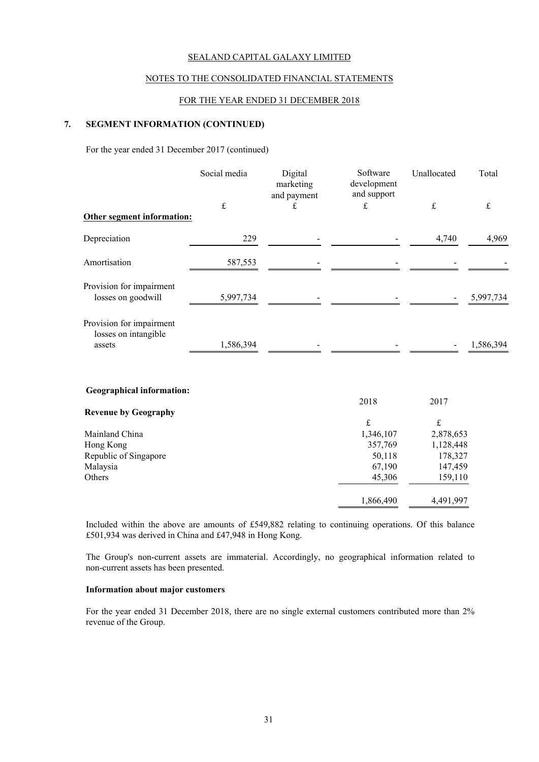## NOTES TO THE CONSOLIDATED FINANCIAL STATEMENTS

#### FOR THE YEAR ENDED 31 DECEMBER 2018

## **7. SEGMENT INFORMATION (CONTINUED)**

For the year ended 31 December 2017 (continued)

|                                                            | Social media | Digital<br>marketing<br>and payment | Software<br>development<br>and support | Unallocated | Total     |
|------------------------------------------------------------|--------------|-------------------------------------|----------------------------------------|-------------|-----------|
|                                                            | $\pounds$    | £                                   | £                                      | £           | £         |
| Other segment information:                                 |              |                                     |                                        |             |           |
| Depreciation                                               | 229          |                                     |                                        | 4,740       | 4,969     |
| Amortisation                                               | 587,553      |                                     |                                        |             |           |
| Provision for impairment<br>losses on goodwill             | 5,997,734    |                                     |                                        |             | 5,997,734 |
| Provision for impairment<br>losses on intangible<br>assets | 1,586,394    |                                     |                                        |             | 1,586,394 |
|                                                            |              |                                     |                                        |             |           |

| <b>Geographical information:</b> |           |           |
|----------------------------------|-----------|-----------|
|                                  | 2018      | 2017      |
| <b>Revenue by Geography</b>      |           |           |
|                                  | £         | £         |
| Mainland China                   | 1,346,107 | 2,878,653 |
| Hong Kong                        | 357,769   | 1,128,448 |
| Republic of Singapore            | 50,118    | 178,327   |
| Malaysia                         | 67,190    | 147,459   |
| Others                           | 45,306    | 159,110   |
|                                  | 1,866,490 | 4,491,997 |

Included within the above are amounts of [£](https://en.wikipedia.org/wiki/Pound_sign)549,882 relating to continuing operations. Of this balance [£5](https://en.wikipedia.org/wiki/Pound_sign)01,934 was derived in China and [£](https://en.wikipedia.org/wiki/Pound_sign)47,948 in Hong Kong.

The Group's non-current assets are immaterial. Accordingly, no geographical information related to non-current assets has been presented.

#### **Information about major customers**

For the year ended 31 December 2018, there are no single external customers contributed more than 2% revenue of the Group.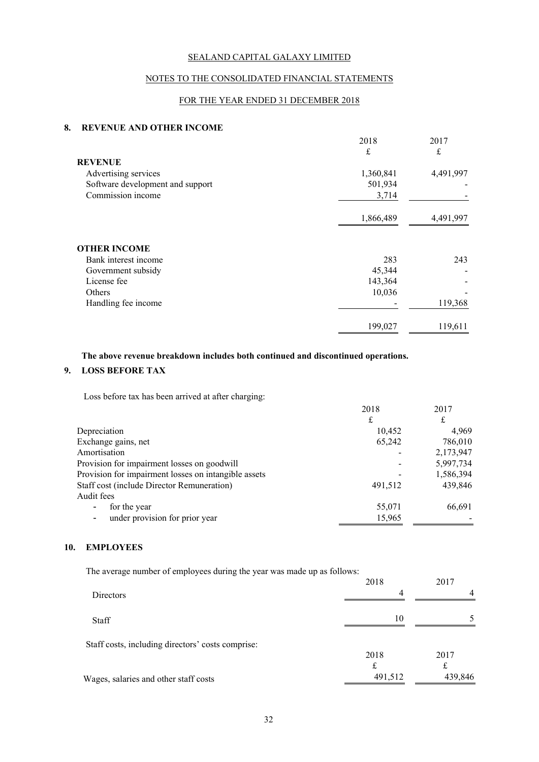## NOTES TO THE CONSOLIDATED FINANCIAL STATEMENTS

## FOR THE YEAR ENDED 31 DECEMBER 2018

## **8. REVENUE AND OTHER INCOME**

|                                  | 2018      | 2017      |
|----------------------------------|-----------|-----------|
|                                  | £         | £         |
| <b>REVENUE</b>                   |           |           |
| Advertising services             | 1,360,841 | 4,491,997 |
| Software development and support | 501,934   |           |
| Commission income                | 3,714     |           |
|                                  | 1,866,489 | 4,491,997 |
|                                  |           |           |
| <b>OTHER INCOME</b>              |           |           |
| Bank interest income             | 283       | 243       |
| Government subsidy               | 45,344    |           |
| License fee                      | 143,364   |           |
| Others                           | 10,036    |           |
| Handling fee income              |           | 119,368   |
|                                  | 199,027   | 119,611   |

**The above revenue breakdown includes both continued and discontinued operations.** 

## **9. LOSS BEFORE TAX**

Loss before tax has been arrived at after charging:

|                                                      | 2018    | 2017      |
|------------------------------------------------------|---------|-----------|
|                                                      | £       | £         |
| Depreciation                                         | 10,452  | 4.969     |
| Exchange gains, net                                  | 65,242  | 786,010   |
| Amortisation                                         |         | 2,173,947 |
| Provision for impairment losses on goodwill          |         | 5,997,734 |
| Provision for impairment losses on intangible assets |         | 1,586,394 |
| Staff cost (include Director Remuneration)           | 491,512 | 439,846   |
| Audit fees                                           |         |           |
| for the year                                         | 55,071  | 66,691    |
| under provision for prior year                       | 15,965  |           |

## **10. EMPLOYEES**

The average number of employees during the year was made up as follows:

| Directors                                         | 2018<br>4    | 2017<br>4    |
|---------------------------------------------------|--------------|--------------|
| <b>Staff</b>                                      | 10           |              |
| Staff costs, including directors' costs comprise: | 2018         | 2017         |
| Wages, salaries and other staff costs             | £<br>491,512 | £<br>439,846 |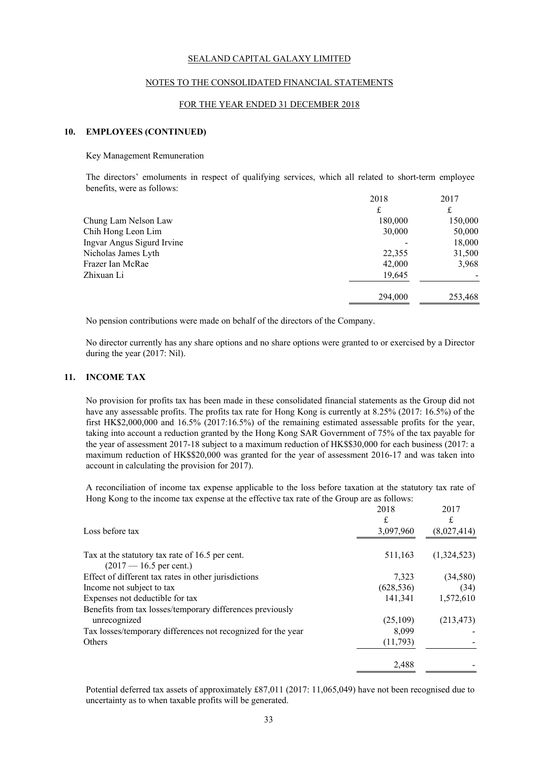#### NOTES TO THE CONSOLIDATED FINANCIAL STATEMENTS

#### FOR THE YEAR ENDED 31 DECEMBER 2018

#### **10. EMPLOYEES (CONTINUED)**

#### Key Management Remuneration

The directors' emoluments in respect of qualifying services, which all related to short-term employee benefits, were as follows:

|                            | 2018    | 2017    |
|----------------------------|---------|---------|
|                            | £       |         |
| Chung Lam Nelson Law       | 180,000 | 150,000 |
| Chih Hong Leon Lim         | 30,000  | 50,000  |
| Ingvar Angus Sigurd Irvine |         | 18,000  |
| Nicholas James Lyth        | 22,355  | 31,500  |
| Frazer Ian McRae           | 42,000  | 3,968   |
| Zhixuan Li                 | 19,645  |         |
|                            | 294,000 | 253,468 |

No pension contributions were made on behalf of the directors of the Company.

No director currently has any share options and no share options were granted to or exercised by a Director during the year (2017: Nil).

### **11. INCOME TAX**

No provision for profits tax has been made in these consolidated financial statements as the Group did not have any assessable profits. The profits tax rate for Hong Kong is currently at 8.25% (2017: 16.5%) of the first HK\$2,000,000 and 16.5% (2017:16.5%) of the remaining estimated assessable profits for the year, taking into account a reduction granted by the Hong Kong SAR Government of 75% of the tax payable for the year of assessment 2017-18 subject to a maximum reduction of HK\$\$30,000 for each business (2017: a maximum reduction of HK\$\$20,000 was granted for the year of assessment 2016-17 and was taken into account in calculating the provision for 2017).

A reconciliation of income tax expense applicable to the loss before taxation at the statutory tax rate of Hong Kong to the income tax expense at the effective tax rate of the Group are as follows:

|                                                                              | 2018<br>£  | 2017<br>£   |
|------------------------------------------------------------------------------|------------|-------------|
| Loss before tax                                                              | 3,097,960  | (8,027,414) |
|                                                                              |            |             |
| Tax at the statutory tax rate of 16.5 per cent.<br>$(2017 - 16.5$ per cent.) | 511,163    | (1,324,523) |
| Effect of different tax rates in other jurisdictions                         | 7,323      | (34,580)    |
| Income not subject to tax                                                    | (628, 536) | (34)        |
| Expenses not deductible for tax                                              | 141,341    | 1,572,610   |
| Benefits from tax losses/temporary differences previously                    |            |             |
| unrecognized                                                                 | (25,109)   | (213, 473)  |
| Tax losses/temporary differences not recognized for the year                 | 8.099      |             |
| Others                                                                       | (11,793)   |             |
|                                                                              | 2,488      |             |

Potential deferred tax assets of approximately [£8](https://en.wikipedia.org/wiki/Pound_sign)7,011 (2017: 11,065,049) have not been recognised due to uncertainty as to when taxable profits will be generated.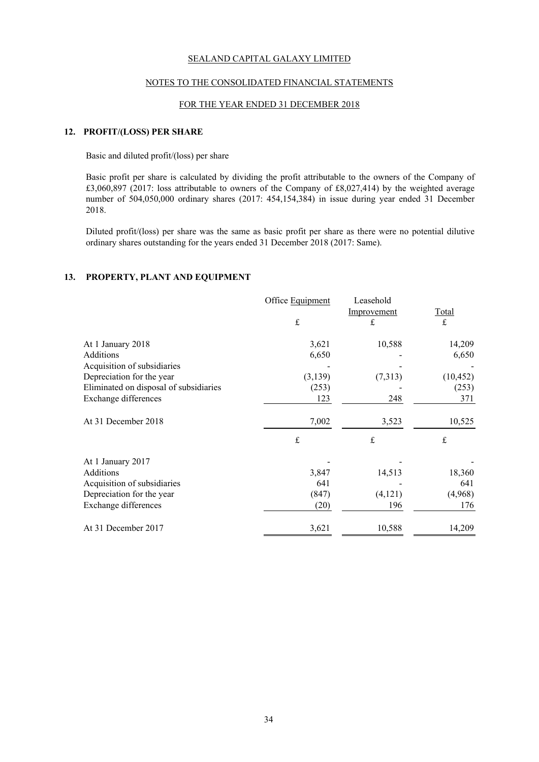#### NOTES TO THE CONSOLIDATED FINANCIAL STATEMENTS

#### FOR THE YEAR ENDED 31 DECEMBER 2018

#### **12. PROFIT/(LOSS) PER SHARE**

Basic and diluted profit/(loss) per share

Basic profit per share is calculated by dividing the profit attributable to the owners of the Company of £3,060,897 (2017: loss attributable to owners of the Company of £8,027,414) by the weighted average number of 504,050,000 ordinary shares (2017: 454,154,384) in issue during year ended 31 December 2018.

Diluted profit/(loss) per share was the same as basic profit per share as there were no potential dilutive ordinary shares outstanding for the years ended 31 December 2018 (2017: Same).

## **13. PROPERTY, PLANT AND EQUIPMENT**

|                                        | Office Equipment | Leasehold   |           |
|----------------------------------------|------------------|-------------|-----------|
|                                        |                  | Improvement | Total     |
|                                        | £                | £           | £         |
| At 1 January 2018                      | 3,621            | 10,588      | 14,209    |
| Additions                              | 6,650            |             | 6,650     |
| Acquisition of subsidiaries            |                  |             |           |
| Depreciation for the year              | (3,139)          | (7,313)     | (10, 452) |
| Eliminated on disposal of subsidiaries | (253)            |             | (253)     |
| Exchange differences                   | 123              | 248         | 371       |
| At 31 December 2018                    | 7,002            | 3,523       | 10,525    |
|                                        | $\pounds$        | $\pounds$   | $\pounds$ |
| At 1 January 2017                      |                  |             |           |
| Additions                              | 3,847            | 14,513      | 18,360    |
| Acquisition of subsidiaries            | 641              |             | 641       |
| Depreciation for the year              | (847)            | (4,121)     | (4,968)   |
| Exchange differences                   | (20)             | 196         | 176       |
| At 31 December 2017                    | 3,621            | 10,588      | 14,209    |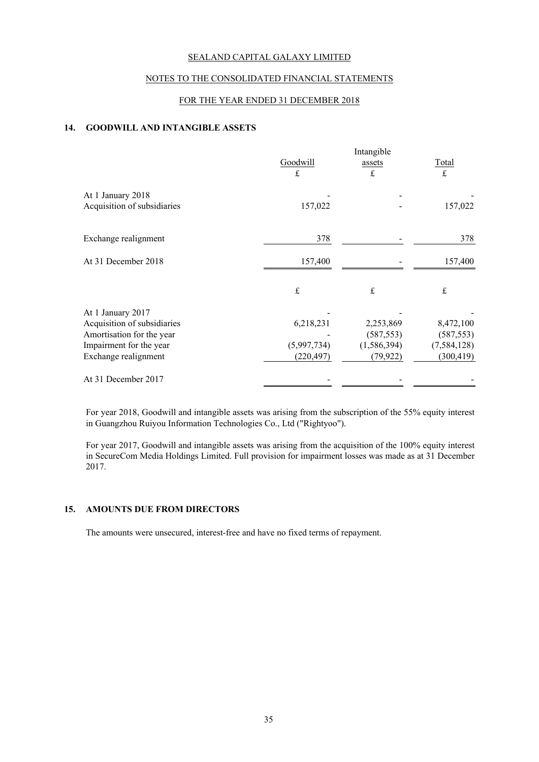## NOTES TO THE CONSOLIDATED FINANCIAL STATEMENTS

### FOR THE YEAR ENDED 31 DECEMBER 2018

## **14. GOODWILL AND INTANGIBLE ASSETS**

|                                                                                                                                  | Goodwill<br>£                          | Intangible<br>assets<br>£                           | Total<br>£                                             |
|----------------------------------------------------------------------------------------------------------------------------------|----------------------------------------|-----------------------------------------------------|--------------------------------------------------------|
| At 1 January 2018<br>Acquisition of subsidiaries                                                                                 | 157,022                                |                                                     | 157,022                                                |
| Exchange realignment                                                                                                             | 378                                    |                                                     | 378                                                    |
| At 31 December 2018                                                                                                              | 157,400                                |                                                     | 157,400                                                |
|                                                                                                                                  | £                                      | £                                                   | £                                                      |
| At 1 January 2017<br>Acquisition of subsidiaries<br>Amortisation for the year<br>Impairment for the year<br>Exchange realignment | 6,218,231<br>(5,997,734)<br>(220, 497) | 2,253,869<br>(587, 553)<br>(1,586,394)<br>(79, 922) | 8,472,100<br>(587, 553)<br>(7, 584, 128)<br>(300, 419) |
| At 31 December 2017                                                                                                              |                                        |                                                     |                                                        |

For year 2018, Goodwill and intangible assets was arising from the subscription of the 55% equity interest in Guangzhou Ruiyou Information Technologies Co., Ltd ("Rightyoo").

For year 2017, Goodwill and intangible assets was arising from the acquisition of the 100% equity interest in SecureCom Media Holdings Limited. Full provision for impairment losses was made as at 31 December 2017.

## **15. AMOUNTS DUE FROM DIRECTORS**

The amounts were unsecured, interest-free and have no fixed terms of repayment.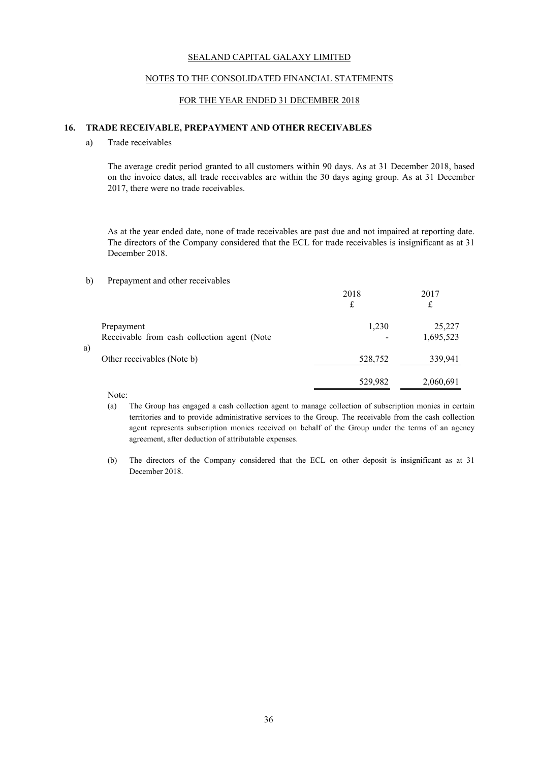### NOTES TO THE CONSOLIDATED FINANCIAL STATEMENTS

### FOR THE YEAR ENDED 31 DECEMBER 2018

## **16. TRADE RECEIVABLE, PREPAYMENT AND OTHER RECEIVABLES**

a) Trade receivables

The average credit period granted to all customers within 90 days. As at 31 December 2018, based on the invoice dates, all trade receivables are within the 30 days aging group. As at 31 December 2017, there were no trade receivables.

As at the year ended date, none of trade receivables are past due and not impaired at reporting date. The directors of the Company considered that the ECL for trade receivables is insignificant as at 31 December 2018.

b) Prepayment and other receivables

|                                             | 2018<br>£ | 2017<br>£ |
|---------------------------------------------|-----------|-----------|
| Prepayment                                  | 1,230     | 25,227    |
| Receivable from cash collection agent (Note |           | 1,695,523 |
| a)<br>Other receivables (Note b)            | 528,752   | 339,941   |
|                                             | 529,982   | 2,060,691 |

Note:

a)

- (a) The Group has engaged a cash collection agent to manage collection of subscription monies in certain territories and to provide administrative services to the Group. The receivable from the cash collection agent represents subscription monies received on behalf of the Group under the terms of an agency agreement, after deduction of attributable expenses.
- (b) The directors of the Company considered that the ECL on other deposit is insignificant as at 31 December 2018.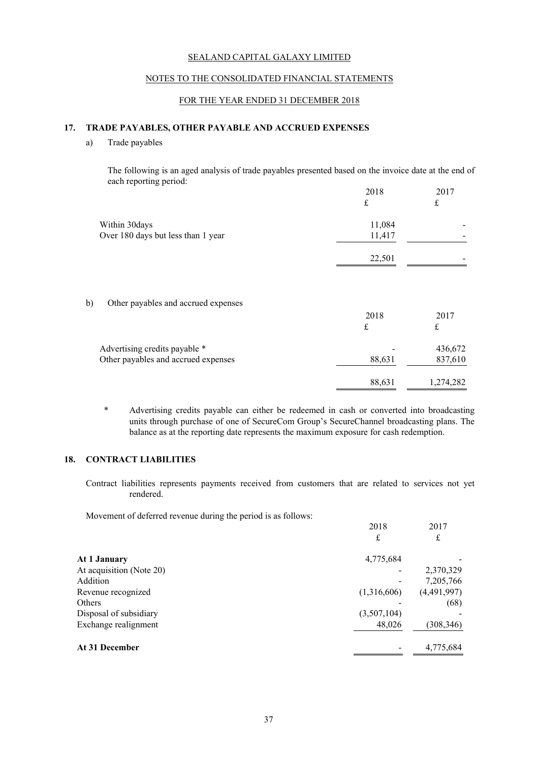## NOTES TO THE CONSOLIDATED FINANCIAL STATEMENTS

### FOR THE YEAR ENDED 31 DECEMBER 2018

## **17. TRADE PAYABLES, OTHER PAYABLE AND ACCRUED EXPENSES**

a) Trade payables

The following is an aged analysis of trade payables presented based on the invoice date at the end of each reporting period:

|                                                     | 2018<br>£        | 2017<br>$\mathbf f$ |
|-----------------------------------------------------|------------------|---------------------|
| Within 30days<br>Over 180 days but less than 1 year | 11,084<br>11,417 |                     |
|                                                     | 22,501           |                     |
|                                                     |                  |                     |
| b)<br>Other payables and accrued expenses           |                  |                     |
|                                                     | 2018<br>£        | 2017<br>$\mathbf f$ |
| Advertising credits payable *                       |                  | 436,672             |
| Other payables and accrued expenses                 | 88,631           | 837,610             |
|                                                     | 88,631           | 1,274,282           |

 \* Advertising credits payable can either be redeemed in cash or converted into broadcasting units through purchase of one of SecureCom Group's SecureChannel broadcasting plans. The balance as at the reporting date represents the maximum exposure for cash redemption.

## **18. CONTRACT LIABILITIES**

Contract liabilities represents payments received from customers that are related to services not yet rendered.

Movement of deferred revenue during the period is as follows:

|                          | 2018        | 2017        |
|--------------------------|-------------|-------------|
|                          | £           | £           |
| At 1 January             | 4,775,684   |             |
| At acquisition (Note 20) |             | 2,370,329   |
| Addition                 |             | 7,205,766   |
| Revenue recognized       | (1,316,606) | (4,491,997) |
| Others                   |             | (68)        |
| Disposal of subsidiary   | (3,507,104) |             |
| Exchange realignment     | 48,026      | (308, 346)  |
| At 31 December           |             | 4,775,684   |
|                          |             |             |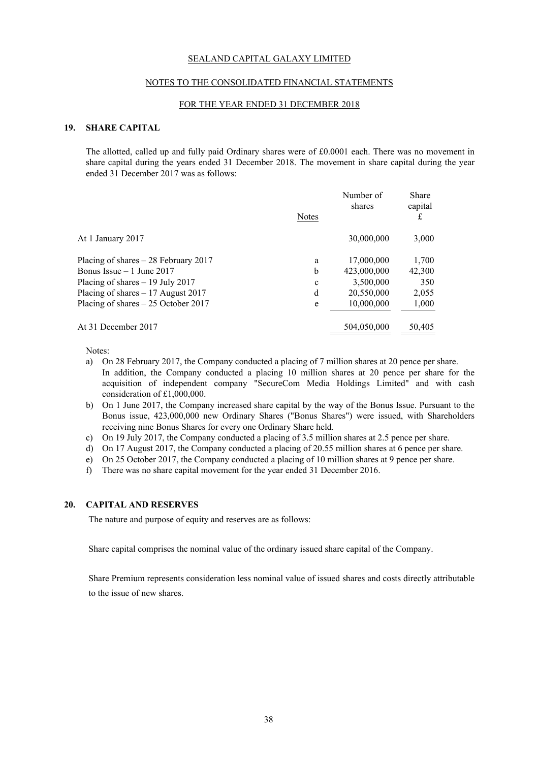#### NOTES TO THE CONSOLIDATED FINANCIAL STATEMENTS

#### FOR THE YEAR ENDED 31 DECEMBER 2018

## **19. SHARE CAPITAL**

The allotted, called up and fully paid Ordinary shares were of £0.0001 each. There was no movement in share capital during the years ended 31 December 2018. The movement in share capital during the year ended 31 December 2017 was as follows:

|                                       |             | Number of<br>shares | Share<br>capital |
|---------------------------------------|-------------|---------------------|------------------|
|                                       | Notes       |                     | £                |
| At 1 January 2017                     |             | 30,000,000          | 3,000            |
| Placing of shares $-28$ February 2017 | a           | 17,000,000          | 1,700            |
| Bonus Issue $-1$ June 2017            | b           | 423,000,000         | 42,300           |
| Placing of shares $-19$ July 2017     | $\mathbf c$ | 3,500,000           | 350              |
| Placing of shares $-17$ August 2017   | d           | 20,550,000          | 2,055            |
| Placing of shares $-25$ October 2017  | e           | 10,000,000          | 1,000            |
| At 31 December 2017                   |             | 504,050,000         | 50.405           |

Notes:

- a) On 28 February 2017, the Company conducted a placing of 7 million shares at 20 pence per share. In addition, the Company conducted a placing 10 million shares at 20 pence per share for the acquisition of independent company "SecureCom Media Holdings Limited" and with cash consideration of £1,000,000.
- b) On 1 June 2017, the Company increased share capital by the way of the Bonus Issue. Pursuant to the Bonus issue, 423,000,000 new Ordinary Shares ("Bonus Shares") were issued, with Shareholders receiving nine Bonus Shares for every one Ordinary Share held.
- c) On 19 July 2017, the Company conducted a placing of 3.5 million shares at 2.5 pence per share.
- d) On 17 August 2017, the Company conducted a placing of 20.55 million shares at 6 pence per share.
- e) On 25 October 2017, the Company conducted a placing of 10 million shares at 9 pence per share.
- f) There was no share capital movement for the year ended 31 December 2016.

### **20. CAPITAL AND RESERVES**

The nature and purpose of equity and reserves are as follows:

Share capital comprises the nominal value of the ordinary issued share capital of the Company.

Share Premium represents consideration less nominal value of issued shares and costs directly attributable to the issue of new shares.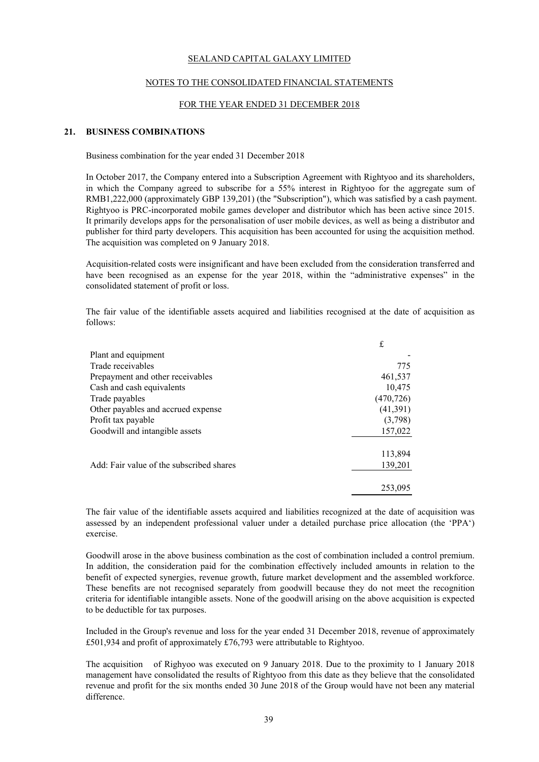#### NOTES TO THE CONSOLIDATED FINANCIAL STATEMENTS

### FOR THE YEAR ENDED 31 DECEMBER 2018

#### **21. BUSINESS COMBINATIONS**

Business combination for the year ended 31 December 2018

In October 2017, the Company entered into a Subscription Agreement with Rightyoo and its shareholders, in which the Company agreed to subscribe for a 55% interest in Rightyoo for the aggregate sum of RMB1,222,000 (approximately GBP 139,201) (the "Subscription"), which was satisfied by a cash payment. Rightyoo is PRC-incorporated mobile games developer and distributor which has been active since 2015. It primarily develops apps for the personalisation of user mobile devices, as well as being a distributor and publisher for third party developers. This acquisition has been accounted for using the acquisition method. The acquisition was completed on 9 January 2018.

Acquisition-related costs were insignificant and have been excluded from the consideration transferred and have been recognised as an expense for the year 2018, within the "administrative expenses" in the consolidated statement of profit or loss.

The fair value of the identifiable assets acquired and liabilities recognised at the date of acquisition as follows:

|                                          | £          |
|------------------------------------------|------------|
| Plant and equipment                      |            |
| Trade receivables                        | 775        |
| Prepayment and other receivables         | 461,537    |
| Cash and cash equivalents                | 10,475     |
| Trade payables                           | (470, 726) |
| Other payables and accrued expense       | (41,391)   |
| Profit tax payable                       | (3,798)    |
| Goodwill and intangible assets           | 157,022    |
|                                          | 113,894    |
| Add: Fair value of the subscribed shares | 139,201    |
|                                          | 253,095    |

The fair value of the identifiable assets acquired and liabilities recognized at the date of acquisition was assessed by an independent professional valuer under a detailed purchase price allocation (the 'PPA') exercise.

Goodwill arose in the above business combination as the cost of combination included a control premium. In addition, the consideration paid for the combination effectively included amounts in relation to the benefit of expected synergies, revenue growth, future market development and the assembled workforce. These benefits are not recognised separately from goodwill because they do not meet the recognition criteria for identifiable intangible assets. None of the goodwill arising on the above acquisition is expected to be deductible for tax purposes.

Included in the Group's revenue and loss for the year ended 31 December 2018, revenue of approximately £501,934 and profit of approximately £76,793 were attributable to Rightyoo.

The acquisition of Righyoo was executed on 9 January 2018. Due to the proximity to 1 January 2018 management have consolidated the results of Rightyoo from this date as they believe that the consolidated revenue and profit for the six months ended 30 June 2018 of the Group would have not been any material difference.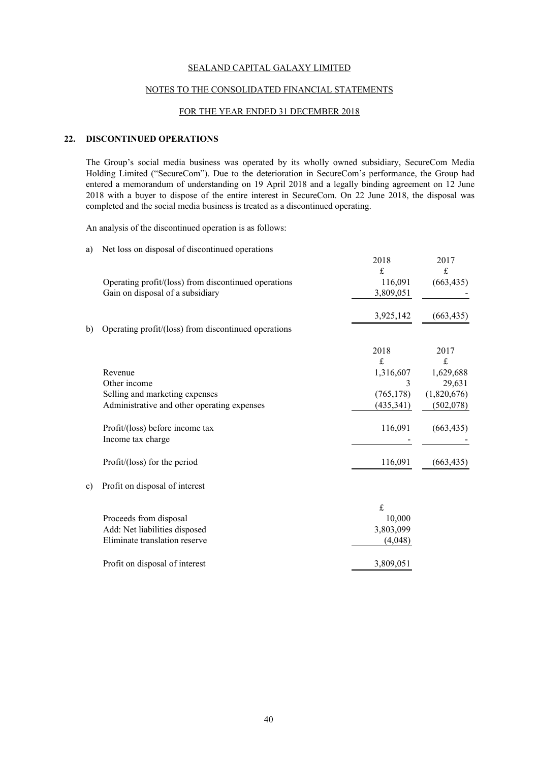#### NOTES TO THE CONSOLIDATED FINANCIAL STATEMENTS

#### FOR THE YEAR ENDED 31 DECEMBER 2018

#### **22. DISCONTINUED OPERATIONS**

The Group's social media business was operated by its wholly owned subsidiary, SecureCom Media Holding Limited ("SecureCom"). Due to the deterioration in SecureCom's performance, the Group had entered a memorandum of understanding on 19 April 2018 and a legally binding agreement on 12 June 2018 with a buyer to dispose of the entire interest in SecureCom. On 22 June 2018, the disposal was completed and the social media business is treated as a discontinued operating.

An analysis of the discontinued operation is as follows:

a) Net loss on disposal of discontinued operations 2018 2017 [£](https://en.wikipedia.org/wiki/Pound_sign) [£](https://en.wikipedia.org/wiki/Pound_sign) Operating profit/(loss) from discontinued operations 116,091 (663,435) Gain on disposal of a subsidiary 3,809,051 3,925,142 (663,435) b) Operating profit/(loss) from discontinued operations 2018 2017 [£](https://en.wikipedia.org/wiki/Pound_sign) [£](https://en.wikipedia.org/wiki/Pound_sign) Revenue 1,316,607 1,629,688 Other income 3 29,631 Selling and marketing expenses (765,178) (1,820,676) Administrative and other operating expenses (435,341) (502,078) Profit/(loss) before income tax 116,091 (663,435) Income tax charge Profit/(loss) for the period 116,091 (663,435) c) Profit on disposal of interest [£](https://en.wikipedia.org/wiki/Pound_sign) Proceeds from disposal and 10,000

| Proceeds from disposal         | 10,000    |
|--------------------------------|-----------|
| Add: Net liabilities disposed  | 3,803,099 |
| Eliminate translation reserve  | (4,048)   |
| Profit on disposal of interest | 3,809,051 |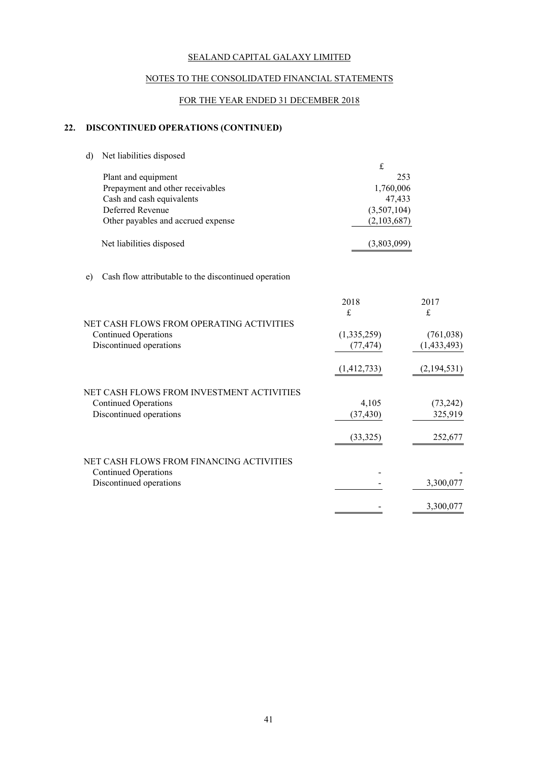# NOTES TO THE CONSOLIDATED FINANCIAL STATEMENTS

## FOR THE YEAR ENDED 31 DECEMBER 2018

## **22. DISCONTINUED OPERATIONS (CONTINUED)**

| $\rm d)$ | Net liabilities disposed                             |             |             |
|----------|------------------------------------------------------|-------------|-------------|
|          |                                                      | £           |             |
|          | Plant and equipment                                  |             | 253         |
|          | Prepayment and other receivables                     | 1,760,006   |             |
|          | Cash and cash equivalents                            | 47,433      |             |
|          | Deferred Revenue                                     | (3,507,104) |             |
|          | Other payables and accrued expense                   | (2,103,687) |             |
|          |                                                      |             |             |
|          | Net liabilities disposed                             | (3,803,099) |             |
|          |                                                      |             |             |
|          |                                                      |             |             |
| e)       | Cash flow attributable to the discontinued operation |             |             |
|          |                                                      | 2018        | 2017        |
|          |                                                      | £           | $\pounds$   |
|          | NET CASH FLOWS FROM OPERATING ACTIVITIES             |             |             |
|          | <b>Continued Operations</b>                          | (1,335,259) | (761, 038)  |
|          | Discontinued operations                              | (77, 474)   | (1,433,493) |
|          |                                                      |             |             |
|          |                                                      |             |             |
|          |                                                      | (1,412,733) | (2,194,531) |
|          | NET CASH FLOWS FROM INVESTMENT ACTIVITIES            |             |             |
|          | <b>Continued Operations</b>                          | 4,105       | (73, 242)   |
|          | Discontinued operations                              | (37, 430)   | 325,919     |
|          |                                                      |             |             |
|          |                                                      | (33,325)    | 252,677     |
|          |                                                      |             |             |
|          | NET CASH FLOWS FROM FINANCING ACTIVITIES             |             |             |
|          | <b>Continued Operations</b>                          |             |             |
|          | Discontinued operations                              |             | 3,300,077   |
|          |                                                      |             |             |
|          |                                                      |             | 3,300,077   |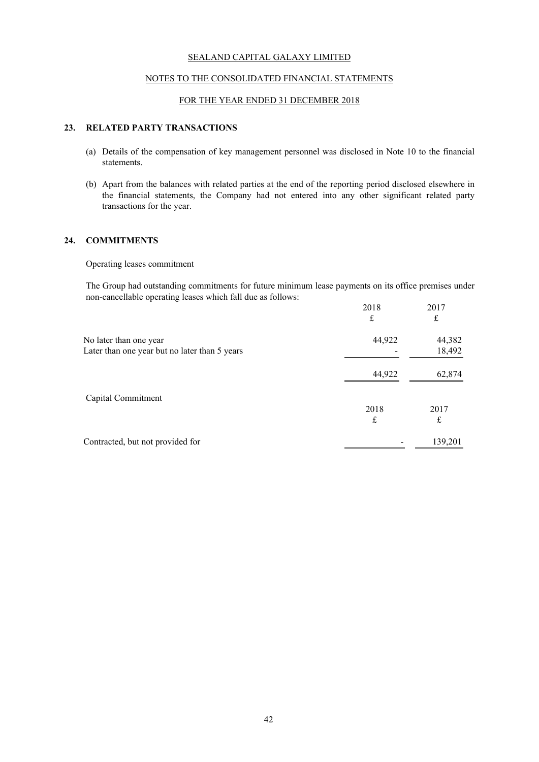### NOTES TO THE CONSOLIDATED FINANCIAL STATEMENTS

### FOR THE YEAR ENDED 31 DECEMBER 2018

## **23. RELATED PARTY TRANSACTIONS**

- (a) Details of the compensation of key management personnel was disclosed in Note 10 to the financial statements.
- (b) Apart from the balances with related parties at the end of the reporting period disclosed elsewhere in the financial statements, the Company had not entered into any other significant related party transactions for the year.

### **24. COMMITMENTS**

Operating leases commitment

The Group had outstanding commitments for future minimum lease payments on its office premises under non-cancellable operating leases which fall due as follows:

|                                               | 2018<br>£ | 2017<br>£ |
|-----------------------------------------------|-----------|-----------|
| No later than one year                        | 44,922    | 44,382    |
| Later than one year but no later than 5 years |           | 18,492    |
|                                               | 44,922    | 62,874    |
| Capital Commitment                            |           |           |
|                                               | 2018<br>£ | 2017<br>£ |
| Contracted, but not provided for              |           | 139,201   |